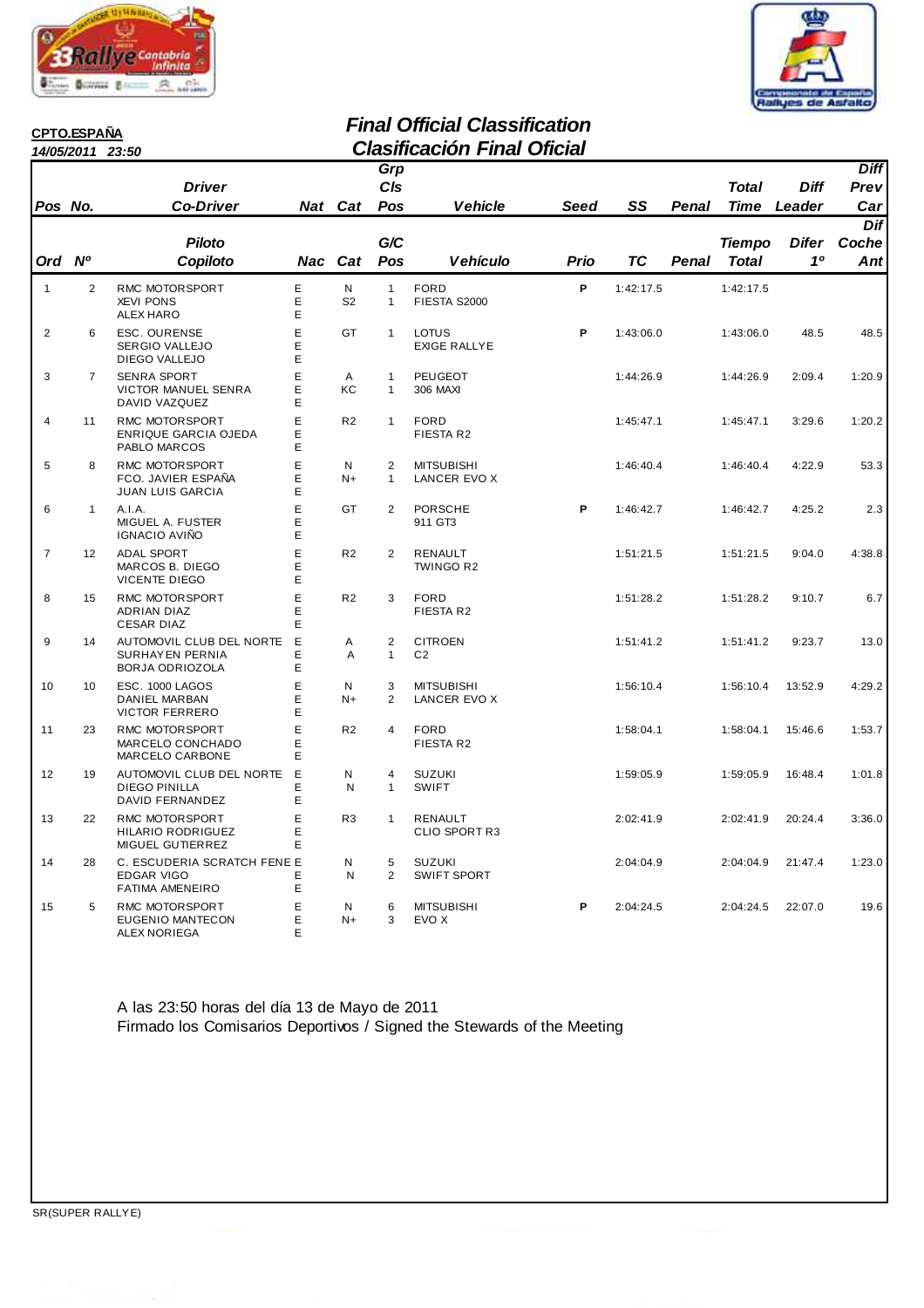



# **CPTO.ESPAÑA**<br>14/05/2011 23:50

### **Final Official Classification 14/05/2011 23:50 Clasificación Final Oficial**

|                | 14/UJ/ZU I I   | 29.JU                                                                      |             |                                |                                | ווטווו ווטוטטוונטוט                    | Viitia |           |              |                             |                       |                            |
|----------------|----------------|----------------------------------------------------------------------------|-------------|--------------------------------|--------------------------------|----------------------------------------|--------|-----------|--------------|-----------------------------|-----------------------|----------------------------|
| Pos No.        |                | <b>Driver</b><br><b>Co-Driver</b>                                          |             | <b>Nat</b> Cat                 | Grp<br>C/s<br>Pos              | <b>Vehicle</b>                         | Seed   | SS        | <b>Penal</b> | <b>Total</b><br><b>Time</b> | <b>Diff</b><br>Leader | <b>Diff</b><br>Prev<br>Car |
| Ord Nº         |                | <b>Piloto</b><br>Copiloto                                                  |             |                                | G/C<br>Pos                     |                                        |        | ТC        | Penal        | Tiempo                      | <b>Difer</b><br>10    | Dif<br>Coche               |
|                |                |                                                                            |             | Nac Cat                        |                                | <b>Vehículo</b>                        | Prio   |           |              | <b>Total</b>                |                       | Ant                        |
| $\mathbf{1}$   | 2              | RMC MOTORSPORT<br><b>XEVI PONS</b><br><b>ALEX HARO</b>                     | E<br>Ε<br>E | $\mathsf{N}$<br>S <sub>2</sub> | $\mathbf{1}$<br>1              | <b>FORD</b><br>FIESTA S2000            | P      | 1:42:17.5 |              | 1:42:17.5                   |                       |                            |
| $\overline{2}$ | 6              | <b>ESC. OURENSE</b><br>SERGIO VALLEJO<br>DIEGO VALLEJO                     | E<br>E<br>E | GT                             | $\mathbf{1}$                   | LOTUS<br><b>EXIGE RALLYE</b>           | P      | 1:43:06.0 |              | 1:43:06.0                   | 48.5                  | 48.5                       |
| 3              | $\overline{7}$ | <b>SENRA SPORT</b><br>VICTOR MANUEL SENRA<br>DAVID VAZQUEZ                 | E<br>E<br>E | A<br>KC                        | $\mathbf{1}$<br>1              | <b>PEUGEOT</b><br>306 MAXI             |        | 1:44:26.9 |              | 1:44:26.9                   | 2:09.4                | 1:20.9                     |
| $\overline{4}$ | 11             | <b>RMC MOTORSPORT</b><br><b>ENRIQUE GARCIA OJEDA</b><br>PABLO MARCOS       | E<br>E<br>E | R <sub>2</sub>                 | $\mathbf{1}$                   | <b>FORD</b><br>FIESTA R2               |        | 1:45:47.1 |              | 1:45:47.1                   | 3:29.6                | 1:20.2                     |
| 5              | 8              | RMC MOTORSPORT<br>FCO. JAVIER ESPAÑA<br><b>JUAN LUIS GARCIA</b>            | E<br>E<br>E | N<br>$N+$                      | $\overline{2}$<br>$\mathbf{1}$ | <b>MITSUBISHI</b><br>LANCER EVO X      |        | 1:46:40.4 |              | 1:46:40.4                   | 4:22.9                | 53.3                       |
| 6              | $\mathbf{1}$   | A.I.A.<br>MIGUEL A. FUSTER<br>IGNACIO AVIÑO                                | E<br>E<br>Е | GT                             | $\overline{2}$                 | <b>PORSCHE</b><br>911 GT3              | P      | 1:46:42.7 |              | 1:46:42.7                   | 4:25.2                | 2.3                        |
| $\overline{7}$ | 12             | <b>ADAL SPORT</b><br>MARCOS B. DIEGO<br><b>VICENTE DIEGO</b>               | E<br>E<br>E | R <sub>2</sub>                 | $\overline{2}$                 | <b>RENAULT</b><br>TWINGO R2            |        | 1:51:21.5 |              | 1:51:21.5                   | 9:04.0                | 4:38.8                     |
| 8              | 15             | RMC MOTORSPORT<br>ADRIAN DIAZ<br><b>CESAR DIAZ</b>                         | E<br>E<br>E | R <sub>2</sub>                 | 3                              | <b>FORD</b><br>FIESTA R2               |        | 1:51:28.2 |              | 1:51:28.2                   | 9:10.7                | 6.7                        |
| 9              | 14             | AUTOMOVIL CLUB DEL NORTE<br>SURHAYEN PERNIA<br>BORJA ODRIOZOLA             | E<br>E<br>E | A<br>A                         | $\overline{2}$<br>1            | <b>CITROEN</b><br>C <sub>2</sub>       |        | 1:51:41.2 |              | 1:51:41.2                   | 9:23.7                | 13.0                       |
| 10             | 10             | ESC. 1000 LAGOS<br>DANIEL MARBAN<br><b>VICTOR FERRERO</b>                  | E<br>E<br>E | N<br>$N+$                      | 3<br>2                         | <b>MITSUBISHI</b><br>LANCER EVO X      |        | 1:56:10.4 |              | 1:56:10.4                   | 13:52.9               | 4:29.2                     |
| 11             | 23             | RMC MOTORSPORT<br>MARCELO CONCHADO<br>MARCELO CARBONE                      | E<br>Е<br>E | R <sub>2</sub>                 | $\overline{4}$                 | <b>FORD</b><br>FIESTA R2               |        | 1:58:04.1 |              | 1:58:04.1                   | 15:46.6               | 1:53.7                     |
| 12             | 19             | AUTOMOVIL CLUB DEL NORTE<br><b>DIEGO PINILLA</b><br>DAVID FERNANDEZ        | E<br>E<br>E | N<br>N                         | 4<br>$\mathbf{1}$              | <b>SUZUKI</b><br><b>SWIFT</b>          |        | 1:59:05.9 |              | 1:59:05.9                   | 16:48.4               | 1:01.8                     |
| 13             | 22             | RMC MOTORSPORT<br><b>HILARIO RODRIGUEZ</b><br>MIGUEL GUTIERREZ             | E<br>E<br>Е | R <sub>3</sub>                 | $\mathbf{1}$                   | <b>RENAULT</b><br><b>CLIO SPORT R3</b> |        | 2:02:41.9 |              | 2:02:41.9                   | 20:24.4               | 3:36.0                     |
| 14             | 28             | C. ESCUDERIA SCRATCH FENE E<br><b>EDGAR VIGO</b><br><b>FATIMA AMENEIRO</b> | E<br>E      | N<br>N                         | 5<br>$\overline{2}$            | <b>SUZUKI</b><br><b>SWIFT SPORT</b>    |        | 2:04:04.9 |              | 2:04:04.9                   | 21:47.4               | 1:23.0                     |
| 15             | 5              | RMC MOTORSPORT<br><b>EUGENIO MANTECON</b><br>ALEX NORIEGA                  | E<br>E<br>E | N<br>$N+$                      | 6<br>3                         | <b>MITSUBISHI</b><br>EVO X             | P      | 2:04:24.5 |              | 2:04:24.5                   | 22:07.0               | 19.6                       |

A las 23:50 horas del día 13 de Mayo de 2011 Firmado los Comisarios Deportivos / Signed the Stewards of the Meeting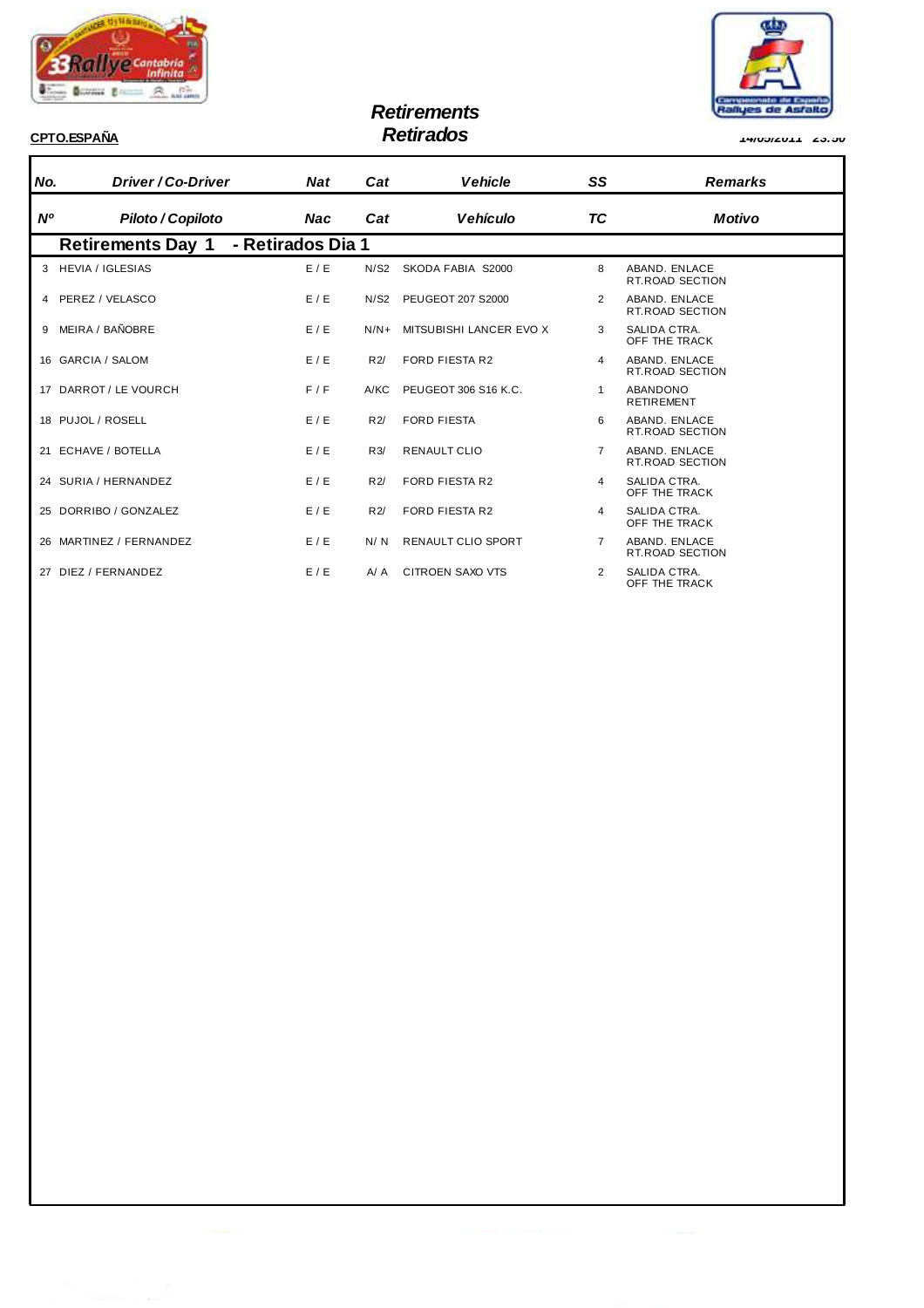

# **Retirements**



**CPTO.ESPAÑA Retirados 14/05/2011 23:50**

#### **No. Driver / Co-Driver Nat Nº Piloto / Copiloto Nac Cat Vehicle Cat Vehículo Remarks Motivo SS TC Retirements Day 1 - Retirados Dia 1** 3 HEVIA / IGLESIAS E / E N/S2 SKODA FABIA S2000 8 ABAND. ENLACE RT.ROAD SECTION 4 PEREZ / VELASCO E / E N/S2 PEUGEOT 207 S2000 2 ABAND. ENLACE RT.ROAD SECTION 9 MEIRA / BAÑOBRE E / E / E / E / N/N+ MITSUBISHI LANCER EVO X 3 SALIDA CTRA.<br>OFF THE TRACK 16 GARCIA / SALOM E / E R2/ FORD FIESTA R2 4 ABAND. ENLACE ABAND. ENLACE<br>RT.ROAD SECTION 17 DARROT / LE VOURCH F / F A/KC PEUGEOT 306 S16 K.C. 4 ABANDONO RETIREMENT 18 PUJOL/ROSELL E / E R2/ FORD FIFSTA 6 ABAND FNIACE RT.ROAD SECTION 21 ECHAVE / BOTELLA E / E R3/ RENAULT CLIO 7 ABAND. ENLACE RT.ROAD SECTION 24 SURIA / HERNANDEZ E / E R2/ FORD FIESTA R2 4 SALIDA CTRA. OFF THE TRACK 25 DORRIBO / GONZALEZ E / E R2/ FORD FIESTA R2 4 SALIDA CTRA. OFF THE TRACK 26 MARTINEZ / FERNANDEZ E / E N/N RENAULT CLIO SPORT 7 ABAND. ENLACE RT.ROAD SECTION 27 DIEZ / FERNANDEZ E / E A/ A CITROEN SAXO VTS 2 SALIDA CTRA. OFF THE TRACK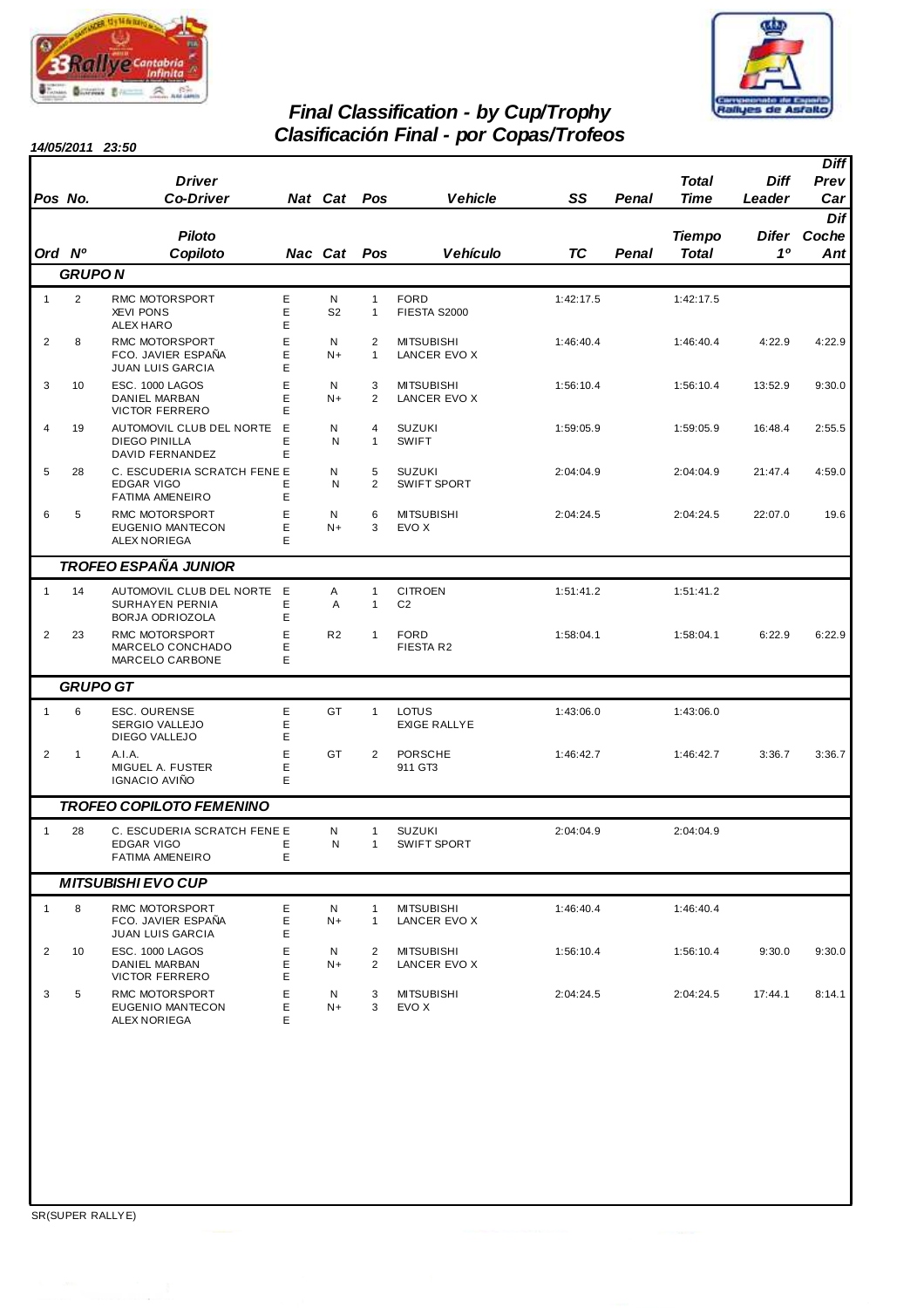



## **Final Classification - by Cup/Trophy Clasificación Final - por Copas/Trofeos**

|                |                 | 14/05/2011 23:50                                                           |             |                     |                              | Clasificación Finar - por Copas/Troleos |           |       |                        |                       |                            |
|----------------|-----------------|----------------------------------------------------------------------------|-------------|---------------------|------------------------------|-----------------------------------------|-----------|-------|------------------------|-----------------------|----------------------------|
| Pos No.        |                 | <b>Driver</b><br><b>Co-Driver</b>                                          |             | <b>Nat Cat</b>      | Pos                          | <b>Vehicle</b>                          | SS        | Penal | <b>Total</b><br>Time   | <b>Diff</b><br>Leader | <b>Diff</b><br>Prev<br>Car |
| Ord Nº         |                 | <b>Piloto</b><br>Copiloto                                                  |             | Nac Cat Pos         |                              | Vehículo                                | TC        | Penal | <b>Tiempo</b><br>Total | <b>Difer</b><br>10    | Dif<br>Coche<br>Ant        |
|                | <b>GRUPON</b>   |                                                                            |             |                     |                              |                                         |           |       |                        |                       |                            |
| $\mathbf{1}$   | $\overline{2}$  | RMC MOTORSPORT<br><b>XEVI PONS</b><br><b>ALEX HARO</b>                     | Ε<br>E<br>Ε | N<br>S <sub>2</sub> | $\mathbf{1}$<br>$\mathbf{1}$ | <b>FORD</b><br>FIESTA S2000             | 1:42:17.5 |       | 1:42:17.5              |                       |                            |
| $\overline{2}$ | 8               | RMC MOTORSPORT<br>FCO. JAVIER ESPAÑA<br><b>JUAN LUIS GARCIA</b>            | Ε<br>E<br>E | N<br>$N+$           | 2<br>$\mathbf{1}$            | <b>MITSUBISHI</b><br>LANCER EVO X       | 1:46:40.4 |       | 1:46:40.4              | 4:22.9                | 4:22.9                     |
| 3              | 10              | ESC. 1000 LAGOS<br>DANIEL MARBAN<br><b>VICTOR FERRERO</b>                  | E<br>E<br>E | N<br>$N+$           | 3<br>$\overline{2}$          | <b>MITSUBISHI</b><br>LANCER EVO X       | 1:56:10.4 |       | 1:56:10.4              | 13:52.9               | 9:30.0                     |
| 4              | 19              | AUTOMOVIL CLUB DEL NORTE<br><b>DIEGO PINILLA</b><br><b>DAVID FERNANDEZ</b> | E<br>E<br>E | N<br>N              | 4<br>1                       | <b>SUZUKI</b><br><b>SWIFT</b>           | 1:59:05.9 |       | 1:59:05.9              | 16:48.4               | 2:55.5                     |
| 5              | 28              | C. ESCUDERIA SCRATCH FENE E<br><b>EDGAR VIGO</b><br><b>FATIMA AMENEIRO</b> | Ε<br>E      | N<br>N              | 5<br>$\overline{2}$          | <b>SUZUKI</b><br><b>SWIFT SPORT</b>     | 2:04:04.9 |       | 2:04:04.9              | 21:47.4               | 4:59.0                     |
| 6              | 5               | RMC MOTORSPORT<br>EUGENIO MANTECON<br><b>ALEX NORIEGA</b>                  | E<br>Ε<br>E | N<br>$N+$           | 6<br>3                       | <b>MITSUBISHI</b><br>EVO X              | 2:04:24.5 |       | 2:04:24.5              | 22:07.0               | 19.6                       |
|                |                 | <b>TROFEO ESPAÑA JUNIOR</b>                                                |             |                     |                              |                                         |           |       |                        |                       |                            |
| $\mathbf{1}$   | 14              | AUTOMOVIL CLUB DEL NORTE<br>SURHAYEN PERNIA<br>BORJA ODRIOZOLA             | E<br>Ε<br>Ε | Α<br>Α              | $\mathbf{1}$<br>$\mathbf{1}$ | <b>CITROEN</b><br>C <sub>2</sub>        | 1:51:41.2 |       | 1:51:41.2              |                       |                            |
| $\overline{2}$ | 23              | RMC MOTORSPORT<br>MARCELO CONCHADO<br>MARCELO CARBONE                      | E<br>Е<br>E | R <sub>2</sub>      | $\mathbf{1}$                 | <b>FORD</b><br>FIESTA R2                | 1:58:04.1 |       | 1:58:04.1              | 6:22.9                | 6:22.9                     |
|                | <b>GRUPO GT</b> |                                                                            |             |                     |                              |                                         |           |       |                        |                       |                            |
| $\mathbf{1}$   | 6               | ESC. OURENSE<br>SERGIO VALLEJO<br>DIEGO VALLEJO                            | Ε<br>Ε<br>Ε | GT                  | $\mathbf{1}$                 | <b>LOTUS</b><br><b>EXIGE RALLYE</b>     | 1:43:06.0 |       | 1:43:06.0              |                       |                            |
| $\overline{2}$ | 1               | A.I.A.<br>MIGUEL A. FUSTER<br>IGNACIO AVIÑO                                | Ε<br>E<br>E | GT                  | $\overline{2}$               | <b>PORSCHE</b><br>911 GT3               | 1:46:42.7 |       | 1:46:42.7              | 3:36.7                | 3:36.7                     |
|                |                 | <b>TROFEO COPILOTO FEMENINO</b>                                            |             |                     |                              |                                         |           |       |                        |                       |                            |
| $\mathbf{1}$   | 28              | C. ESCUDERIA SCRATCH FENE E<br><b>EDGAR VIGO</b><br><b>FATIMA AMENEIRO</b> | Ε<br>Е      | N<br>N              | 1<br>1                       | <b>SUZUKI</b><br><b>SWIFT SPORT</b>     | 2:04:04.9 |       | 2:04:04.9              |                       |                            |
|                |                 | <b>MITSUBISHI EVO CUP</b>                                                  |             |                     |                              |                                         |           |       |                        |                       |                            |
| $\mathbf{1}$   | 8               | RMC MOTORSPORT<br>FCO. JAVIER ESPAÑA<br><b>JUAN LUIS GARCIA</b>            | Ε<br>Ε<br>Ε | N<br>N+             | 1<br>1                       | <b>MITSUBISHI</b><br>LANCER EVO X       | 1:46:40.4 |       | 1:46:40.4              |                       |                            |
| $\overline{2}$ | 10              | ESC. 1000 LAGOS<br>DANIEL MARBAN<br><b>VICTOR FERRERO</b>                  | E<br>E<br>E | N<br>N+             | 2<br>2                       | <b>MITSUBISHI</b><br>LANCER EVO X       | 1:56:10.4 |       | 1:56:10.4              | 9:30.0                | 9:30.0                     |
| 3              | 5               | RMC MOTORSPORT<br>EUGENIO MANTECON<br>ALEX NORIEGA                         | Ε<br>Ε<br>E | N<br>N+             | 3<br>3                       | <b>MITSUBISHI</b><br>EVO X              | 2:04:24.5 |       | 2:04:24.5              | 17:44.1               | 8:14.1                     |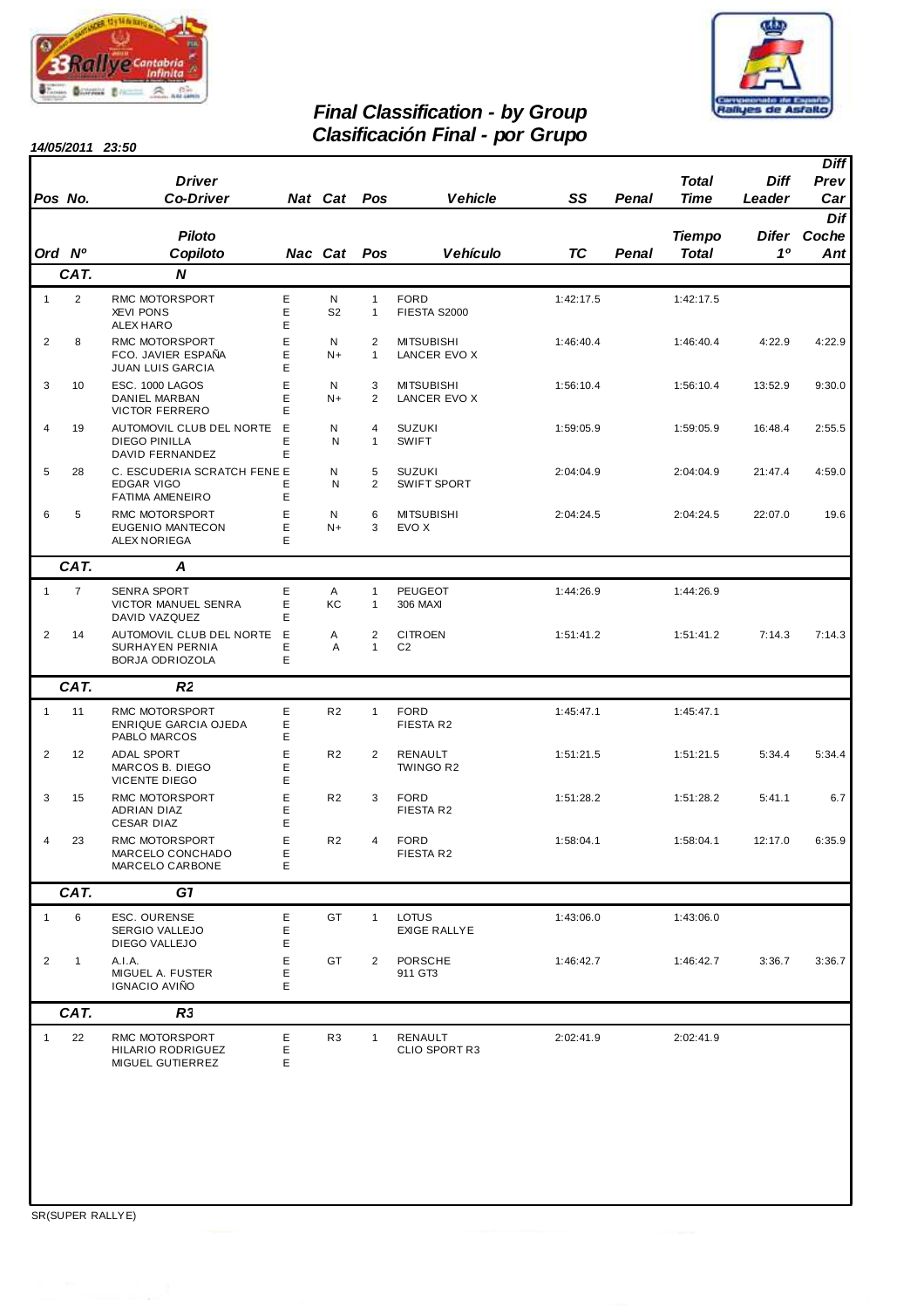



### **Final Classification - by Group Clasificación Final - por Grupo**

**14/05/2011 23:50**

| Pos No.        |                | <b>Driver</b><br><b>Co-Driver</b>                                          |             | Nat Cat             | Pos                            | <b>Vehicle</b>                      | SS        | Penal | <b>Total</b><br><b>Time</b> | Diff<br>Leader | <b>Diff</b><br>Prev<br>Car |
|----------------|----------------|----------------------------------------------------------------------------|-------------|---------------------|--------------------------------|-------------------------------------|-----------|-------|-----------------------------|----------------|----------------------------|
| Ord Nº         |                | <b>Piloto</b><br>Copiloto                                                  |             | Nac Cat             | Pos                            | <b>Vehículo</b>                     | <b>TC</b> | Penal | <b>Tiempo</b><br>Total      | 10             | Dif<br>Difer Coche<br>Ant  |
|                | CAT.           | N                                                                          |             |                     |                                |                                     |           |       |                             |                |                            |
| $\mathbf{1}$   | $\overline{2}$ | RMC MOTORSPORT<br><b>XEVI PONS</b><br><b>ALEX HARO</b>                     | Ε<br>Ε<br>E | N<br>S <sub>2</sub> | $\mathbf{1}$<br>$\mathbf{1}$   | <b>FORD</b><br>FIESTA S2000         | 1:42:17.5 |       | 1:42:17.5                   |                |                            |
| $\overline{2}$ | 8              | RMC MOTORSPORT<br>FCO. JAVIER ESPAÑA<br><b>JUAN LUIS GARCIA</b>            | E<br>E<br>Е | N<br>$N+$           | $\overline{2}$<br>$\mathbf{1}$ | <b>MITSUBISHI</b><br>LANCER EVO X   | 1:46:40.4 |       | 1:46:40.4                   | 4:22.9         | 4:22.9                     |
| 3              | 10             | ESC. 1000 LAGOS<br>DANIEL MARBAN<br><b>VICTOR FERRERO</b>                  | E<br>Ε<br>E | N<br>$N+$           | 3<br>$\overline{2}$            | <b>MITSUBISHI</b><br>LANCER EVO X   | 1:56:10.4 |       | 1:56:10.4                   | 13:52.9        | 9:30.0                     |
| 4              | 19             | AUTOMOVIL CLUB DEL NORTE<br><b>DIEGO PINILLA</b><br><b>DAVID FERNANDEZ</b> | E<br>E<br>E | Ν<br>N              | 4<br>$\mathbf{1}$              | <b>SUZUKI</b><br><b>SWIFT</b>       | 1:59:05.9 |       | 1:59:05.9                   | 16:48.4        | 2:55.5                     |
| 5              | 28             | C. ESCUDERIA SCRATCH FENE E<br><b>EDGAR VIGO</b><br><b>FATIMA AMENEIRO</b> | E<br>Ε      | N<br>N              | 5<br>2                         | <b>SUZUKI</b><br><b>SWIFT SPORT</b> | 2:04:04.9 |       | 2:04:04.9                   | 21:47.4        | 4:59.0                     |
| 6              | 5              | RMC MOTORSPORT<br>EUGENIO MANTECON<br><b>ALEX NORIEGA</b>                  | E<br>E<br>E | N<br>$N+$           | 6<br>3                         | <b>MITSUBISHI</b><br>EVO X          | 2:04:24.5 |       | 2:04:24.5                   | 22:07.0        | 19.6                       |
|                | CAT.           | Α                                                                          |             |                     |                                |                                     |           |       |                             |                |                            |
| $\mathbf{1}$   | $\overline{7}$ | <b>SENRA SPORT</b><br>VICTOR MANUEL SENRA<br>DAVID VAZQUEZ                 | Ε<br>Е<br>E | Α<br>KC             | $\mathbf{1}$<br>$\mathbf{1}$   | <b>PEUGEOT</b><br>306 MAXI          | 1:44:26.9 |       | 1:44:26.9                   |                |                            |
| $\overline{2}$ | 14             | AUTOMOVIL CLUB DEL NORTE<br><b>SURHAYEN PERNIA</b><br>BORJA ODRIOZOLA      | Е<br>Е<br>E | Α<br>A              | $\overline{c}$<br>1            | <b>CITROEN</b><br>C <sub>2</sub>    | 1:51:41.2 |       | 1:51:41.2                   | 7:14.3         | 7:14.3                     |
|                | CAT.           | R2                                                                         |             |                     |                                |                                     |           |       |                             |                |                            |
| $\mathbf{1}$   | 11             | RMC MOTORSPORT<br><b>ENRIQUE GARCIA OJEDA</b><br>PABLO MARCOS              | Е<br>Ε<br>Ε | R <sub>2</sub>      | $\mathbf{1}$                   | <b>FORD</b><br>FIESTA R2            | 1:45:47.1 |       | 1:45:47.1                   |                |                            |
| $\overline{2}$ | 12             | <b>ADAL SPORT</b><br>MARCOS B. DIEGO<br><b>VICENTE DIEGO</b>               | Ε<br>E<br>Ε | R <sub>2</sub>      | 2                              | RENAULT<br>TWINGO R2                | 1:51:21.5 |       | 1:51:21.5                   | 5:34.4         | 5:34.4                     |
| 3              | 15             | RMC MOTORSPORT<br><b>ADRIAN DIAZ</b><br>CESAR DIAZ                         | E<br>Е<br>E | R <sub>2</sub>      | 3                              | <b>FORD</b><br>FIESTA R2            | 1:51:28.2 |       | 1:51:28.2                   | 5:41.1         | 6.7                        |
| 4              | 23             | RMC MOTORSPORT<br>MARCELO CONCHADO<br>MARCELO CARBONE                      | E<br>Ε<br>Е | R <sub>2</sub>      | 4                              | <b>FORD</b><br>FIESTA R2            | 1:58:04.1 |       | 1:58:04.1                   | 12:17.0        | 6:35.9                     |
|                | CAT.           | G1                                                                         |             |                     |                                |                                     |           |       |                             |                |                            |
| $\mathbf{1}$   | 6              | ESC. OURENSE<br>SERGIO VALLEJO<br>DIEGO VALLEJO                            | Е<br>Ε<br>Ε | GT                  | $\mathbf{1}$                   | <b>LOTUS</b><br><b>EXIGE RALLYE</b> | 1:43:06.0 |       | 1:43:06.0                   |                |                            |
| $\overline{2}$ | $\mathbf{1}$   | A.I.A.<br>MIGUEL A. FUSTER<br>IGNACIO AVIÑO                                | E<br>Ε<br>Е | GT                  | 2                              | <b>PORSCHE</b><br>911 GT3           | 1:46:42.7 |       | 1:46:42.7                   | 3:36.7         | 3:36.7                     |
|                | CAT.           | R.                                                                         |             |                     |                                |                                     |           |       |                             |                |                            |
| $\mathbf{1}$   | 22             | RMC MOTORSPORT<br>HILARIO RODRIGUEZ<br>MIGUEL GUTIERREZ                    | Е<br>Ε<br>Е | R <sub>3</sub>      | $\mathbf{1}$                   | RENAULT<br>CLIO SPORT R3            | 2:02:41.9 |       | 2:02:41.9                   |                |                            |
|                |                |                                                                            |             |                     |                                |                                     |           |       |                             |                |                            |

SR(SUPER RALLYE)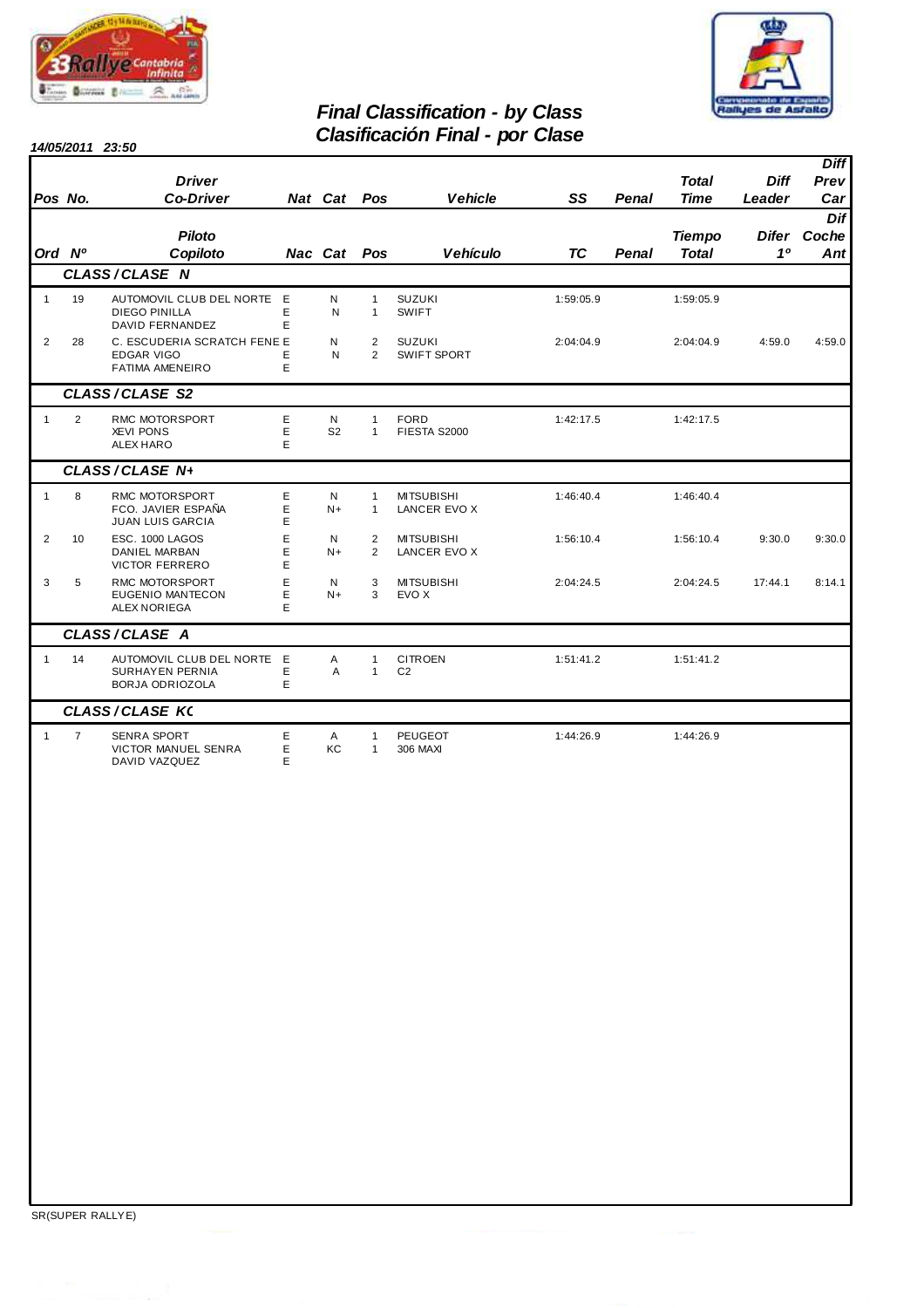



### **Final Classification - by Class Clasificación Final - por Clase**

|                |                | <b>Driver</b>                                                              |             |                     |                              |                                          |           |              | <b>Total</b>                  | <b>Diff</b> | <b>Diff</b><br>Prev                    |
|----------------|----------------|----------------------------------------------------------------------------|-------------|---------------------|------------------------------|------------------------------------------|-----------|--------------|-------------------------------|-------------|----------------------------------------|
| Pos No.        |                | <b>Co-Driver</b>                                                           |             | Nat Cat             | Pos                          | <b>Vehicle</b>                           | SS        | <b>Penal</b> | <b>Time</b>                   | Leader      | Car                                    |
| Ord Nº         |                | <b>Piloto</b><br>Copiloto                                                  |             | Nac Cat             | Pos                          | <b>Vehículo</b>                          | <b>TC</b> | Penal        | <b>Tiempo</b><br><b>Total</b> | 10          | Dif<br>Difer Coche<br>Ant <sup>1</sup> |
|                |                | CLASS/CLASE N                                                              |             |                     |                              |                                          |           |              |                               |             |                                        |
| $\mathbf{1}$   | 19             | AUTOMOVIL CLUB DEL NORTE<br><b>DIEGO PINILLA</b><br><b>DAVID FERNANDEZ</b> | E<br>E<br>E | N<br>N              | $\mathbf{1}$<br>$\mathbf{1}$ | <b>SUZUKI</b><br>SWIFT                   | 1:59:05.9 |              | 1:59:05.9                     |             |                                        |
| $\overline{2}$ | 28             | C. ESCUDERIA SCRATCH FENE E<br><b>EDGAR VIGO</b><br><b>FATIMA AMENEIRO</b> | E<br>E      | N<br>N              | 2<br>$\overline{2}$          | <b>SUZUKI</b><br><b>SWIFT SPORT</b>      | 2:04:04.9 |              | 2:04:04.9                     | 4:59.0      | 4:59.0                                 |
|                |                | <b>CLASS/CLASE S2</b>                                                      |             |                     |                              |                                          |           |              |                               |             |                                        |
| $\mathbf{1}$   | 2              | RMC MOTORSPORT<br><b>XEVI PONS</b><br><b>ALEX HARO</b>                     | E<br>E<br>E | N<br>S <sub>2</sub> | $\mathbf{1}$<br>$\mathbf{1}$ | <b>FORD</b><br>FIESTA S2000              | 1:42:17.5 |              | 1:42:17.5                     |             |                                        |
|                |                | CLASS/CLASE N+                                                             |             |                     |                              |                                          |           |              |                               |             |                                        |
| $\mathbf{1}$   | 8              | RMC MOTORSPORT<br>FCO. JAVIER ESPAÑA<br><b>JUAN LUIS GARCIA</b>            | E<br>E<br>E | N<br>$N+$           | $\mathbf{1}$<br>$\mathbf{1}$ | <b>MITSUBISHI</b><br>LANCER EVO X        | 1:46:40.4 |              | 1:46:40.4                     |             |                                        |
| 2              | 10             | <b>ESC. 1000 LAGOS</b><br><b>DANIEL MARBAN</b><br><b>VICTOR FERRERO</b>    | E<br>E<br>E | N<br>$N+$           | 2<br>2                       | <b>MITSUBISHI</b><br><b>LANCER EVO X</b> | 1:56:10.4 |              | 1:56:10.4                     | 9:30.0      | 9:30.0                                 |
| 3              | 5              | <b>RMC MOTORSPORT</b><br><b>EUGENIO MANTECON</b><br><b>ALEX NORIEGA</b>    | E<br>E<br>E | N<br>$N+$           | 3<br>3                       | <b>MITSUBISHI</b><br>EVO X               | 2:04:24.5 |              | 2:04:24.5                     | 17:44.1     | 8:14.1                                 |
|                |                | CLASS/CLASE A                                                              |             |                     |                              |                                          |           |              |                               |             |                                        |
| $\mathbf{1}$   | 14             | AUTOMOVIL CLUB DEL NORTE<br><b>SURHAYEN PERNIA</b><br>BORJA ODRIOZOLA      | E<br>E<br>E | A<br>A              | $\mathbf{1}$<br>$\mathbf{1}$ | <b>CITROEN</b><br>C <sub>2</sub>         | 1:51:41.2 |              | 1:51:41.2                     |             |                                        |
|                |                | <b>CLASS/CLASE K(</b>                                                      |             |                     |                              |                                          |           |              |                               |             |                                        |
| $\mathbf{1}$   | $\overline{7}$ | SENRA SPORT<br><b>VICTOR MANUEL SENRA</b><br>DAVID VAZQUEZ                 | E<br>E<br>E | A<br>KC             | $\mathbf{1}$<br>$\mathbf{1}$ | <b>PEUGEOT</b><br>306 MAXI               | 1:44:26.9 |              | 1:44:26.9                     |             |                                        |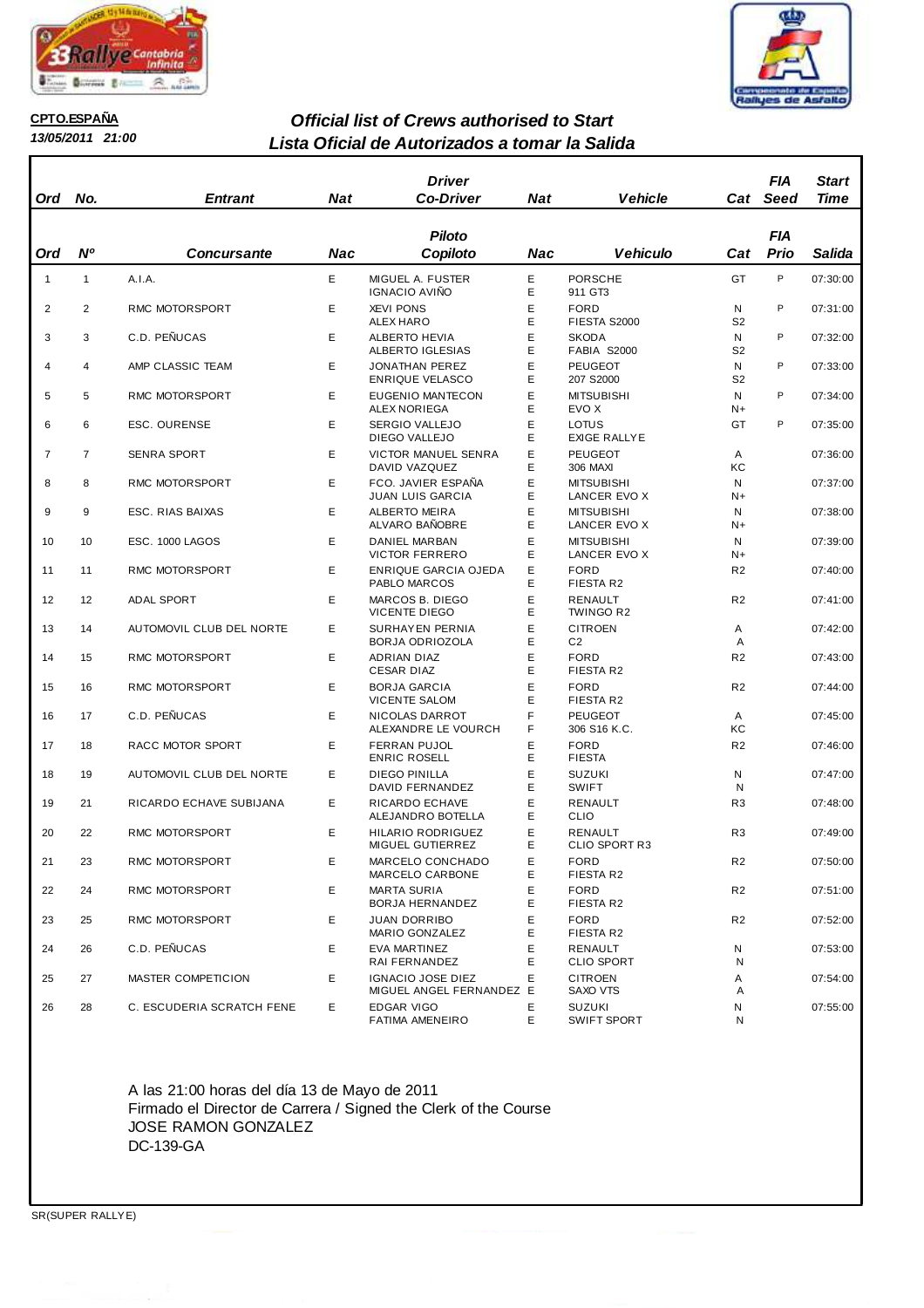



**CPTO.ESPAÑA**

### **13/05/2011 21:00**

### **Lista Oficial de Autorizados a tomar la Salida Official list of Crews authorised to Start**

| <b>Ord</b>     | No.            | <b>Entrant</b>            | <b>Nat</b> | <b>Driver</b><br><b>Co-Driver</b>                           | <b>Nat</b>  | <b>Vehicle</b>                    | Cat                 | FIA<br>Seed | Start<br>Time |
|----------------|----------------|---------------------------|------------|-------------------------------------------------------------|-------------|-----------------------------------|---------------------|-------------|---------------|
|                |                |                           |            | <b>Piloto</b>                                               |             |                                   |                     | <b>FIA</b>  |               |
| Ord            | <b>N°</b>      | <b>Concursante</b>        | Nac        | Copiloto                                                    | Nac         | <b>Vehiculo</b>                   | Cat                 | Prio        | Salida        |
| $\mathbf{1}$   | $\mathbf{1}$   | A.I.A.                    | E          | MIGUEL A. FUSTER<br><b>IGNACIO AVIÑO</b>                    | E<br>Е      | <b>PORSCHE</b><br>911 GT3         | GT                  | P           | 07:30:00      |
| $\overline{2}$ | 2              | RMC MOTORSPORT            | E          | <b>XEVI PONS</b><br>ALEX HARO                               | E<br>Е      | <b>FORD</b><br>FIESTA S2000       | N<br>S <sub>2</sub> | P           | 07:31:00      |
| 3              | 3              | C.D. PEÑUCAS              | Е          | <b>ALBERTO HEVIA</b><br>ALBERTO IGLESIAS                    | E<br>Е      | <b>SKODA</b><br>FABIA S2000       | N<br>S <sub>2</sub> | P           | 07:32:00      |
| 4              | 4              | AMP CLASSIC TEAM          | Е          | <b>JONATHAN PEREZ</b><br><b>ENRIQUE VELASCO</b>             | E<br>Е      | PEUGEOT<br>207 S2000              | N<br>S <sub>2</sub> | P           | 07:33:00      |
| 5              | 5              | RMC MOTORSPORT            | E          | EUGENIO MANTECON<br>ALEX NORIEGA                            | Е<br>E      | <b>MITSUBISHI</b><br>EVO X        | N<br>N+             | P           | 07:34:00      |
| 6              | 6              | <b>ESC. OURENSE</b>       | Е          | <b>SERGIO VALLEJO</b><br>DIEGO VALLEJO                      | E<br>Е      | LOTUS<br><b>EXIGE RALLYE</b>      | GT                  | P           | 07:35:00      |
| $\overline{7}$ | $\overline{7}$ | SENRA SPORT               | Е          | <b>VICTOR MANUEL SENRA</b><br>DAVID VAZQUEZ                 | E<br>Е      | <b>PEUGEOT</b><br>306 MAXI        | Α<br>КC             |             | 07:36:00      |
| 8              | 8              | RMC MOTORSPORT            | Е          | FCO. JAVIER ESPAÑA<br>JUAN LUIS GARCIA                      | E<br>Е      | <b>MITSUBISHI</b><br>LANCER EVO X | N<br>N+             |             | 07:37:00      |
| 9              | 9              | ESC. RIAS BAIXAS          | Е          | <b>ALBERTO MEIRA</b><br>ALVARO BAÑOBRE                      | E<br>Е      | <b>MITSUBISHI</b><br>LANCER EVO X | N<br>N+             |             | 07:38:00      |
| 10             | 10             | ESC. 1000 LAGOS           | E          | <b>DANIEL MARBAN</b><br><b>VICTOR FERRERO</b>               | E<br>Е      | <b>MITSUBISHI</b><br>LANCER EVO X | N<br>N+             |             | 07:39:00      |
| 11             | 11             | RMC MOTORSPORT            | Е          | ENRIQUE GARCIA OJEDA<br>PABLO MARCOS                        | Е<br>E      | <b>FORD</b><br><b>FIESTA R2</b>   | R <sub>2</sub>      |             | 07:40:00      |
| 12             | 12             | <b>ADAL SPORT</b>         | Е          | MARCOS B. DIEGO<br><b>VICENTE DIEGO</b>                     | E<br>E      | <b>RENAULT</b><br>TWINGO R2       | R <sub>2</sub>      |             | 07:41:00      |
| 13             | 14             | AUTOMOVIL CLUB DEL NORTE  | Е          | SURHAY EN PERNIA<br>BORJA ODRIOZOLA                         | Е<br>E      | <b>CITROEN</b><br>C <sub>2</sub>  | Α<br>A              |             | 07:42:00      |
| 14             | 15             | RMC MOTORSPORT            | Е          | ADRIAN DIAZ<br><b>CESAR DIAZ</b>                            | Е<br>Е      | <b>FORD</b><br>FIESTA R2          | R <sub>2</sub>      |             | 07:43:00      |
| 15             | 16             | RMC MOTORSPORT            | Е          | <b>BORJA GARCIA</b><br><b>VICENTE SALOM</b>                 | E<br>Е      | <b>FORD</b><br><b>FIESTA R2</b>   | R <sub>2</sub>      |             | 07:44:00      |
| 16             | 17             | C.D. PEÑUCAS              | E          | NICOLAS DARROT<br>ALEXANDRE LE VOURCH                       | F<br>F      | <b>PEUGEOT</b><br>306 S16 K.C.    | A<br>КC             |             | 07:45:00      |
| 17             | 18             | RACC MOTOR SPORT          | E.         | <b>FERRAN PUJOL</b><br><b>ENRIC ROSELL</b><br>DIEGO PINILLA | E<br>Е<br>E | <b>FORD</b><br><b>FIESTA</b>      | R <sub>2</sub>      |             | 07:46:00      |
| 18             | 19             | AUTOMOVIL CLUB DEL NORTE  | E          | DAVID FERNANDEZ                                             | Е<br>E      | <b>SUZUKI</b><br><b>SWIFT</b>     | N<br>N              |             | 07:47:00      |
| 19             | 21             | RICARDO ECHAVE SUBIJANA   | Е          | RICARDO ECHAVE<br>ALEJANDRO BOTELLA                         | E           | RENAULT<br>CLIO                   | R <sub>3</sub>      |             | 07:48:00      |
| 20             | 22             | RMC MOTORSPORT            | E          | HILARIO RODRIGUEZ<br><b>MIGUEL GUTIERREZ</b>                | Е<br>Е      | RENAULT<br><b>CLIO SPORT R3</b>   | R <sub>3</sub>      |             | 07:49:00      |
| 21             | 23             | RMC MOTORSPORT            | E          | MARCELO CONCHADO<br>MARCELO CARBONE                         | Е<br>Ε      | FORD<br>FIESTA R2                 | R <sub>2</sub>      |             | 07:50:00      |
| 22             | 24             | RMC MOTORSPORT            | E          | <b>MARTA SURIA</b><br>BORJA HERNANDEZ                       | E<br>Ε      | <b>FORD</b><br>FIESTA R2          | R <sub>2</sub>      |             | 07:51:00      |
| 23             | 25             | RMC MOTORSPORT            | E          | <b>JUAN DORRIBO</b><br>MARIO GONZALEZ                       | E<br>Ε      | <b>FORD</b><br>FIESTA R2          | R <sub>2</sub>      |             | 07:52:00      |
| 24             | 26             | C.D. PEÑUCAS              | E          | EVA MARTINEZ<br>RAI FERNANDEZ                               | E<br>Е      | RENAULT<br><b>CLIO SPORT</b>      | N<br>N              |             | 07:53:00      |
| 25             | 27             | MASTER COMPETICION        | E.         | <b>IGNACIO JOSE DIEZ</b><br>MIGUEL ANGEL FERNANDEZ E        | E           | <b>CITROEN</b><br>SAXO VTS        | Α<br>Α              |             | 07:54:00      |
| 26             | 28             | C. ESCUDERIA SCRATCH FENE | E          | EDGAR VIGO<br><b>FATIMA AMENEIRO</b>                        | E<br>E.     | <b>SUZUKI</b><br>SWIFT SPORT      | N<br>N              |             | 07:55:00      |

A las 21:00 horas del día 13 de Mayo de 2011 Firmado el Director de Carrera / Signed the Clerk of the Course JOSE RAMON GONZALEZ DC-139-GA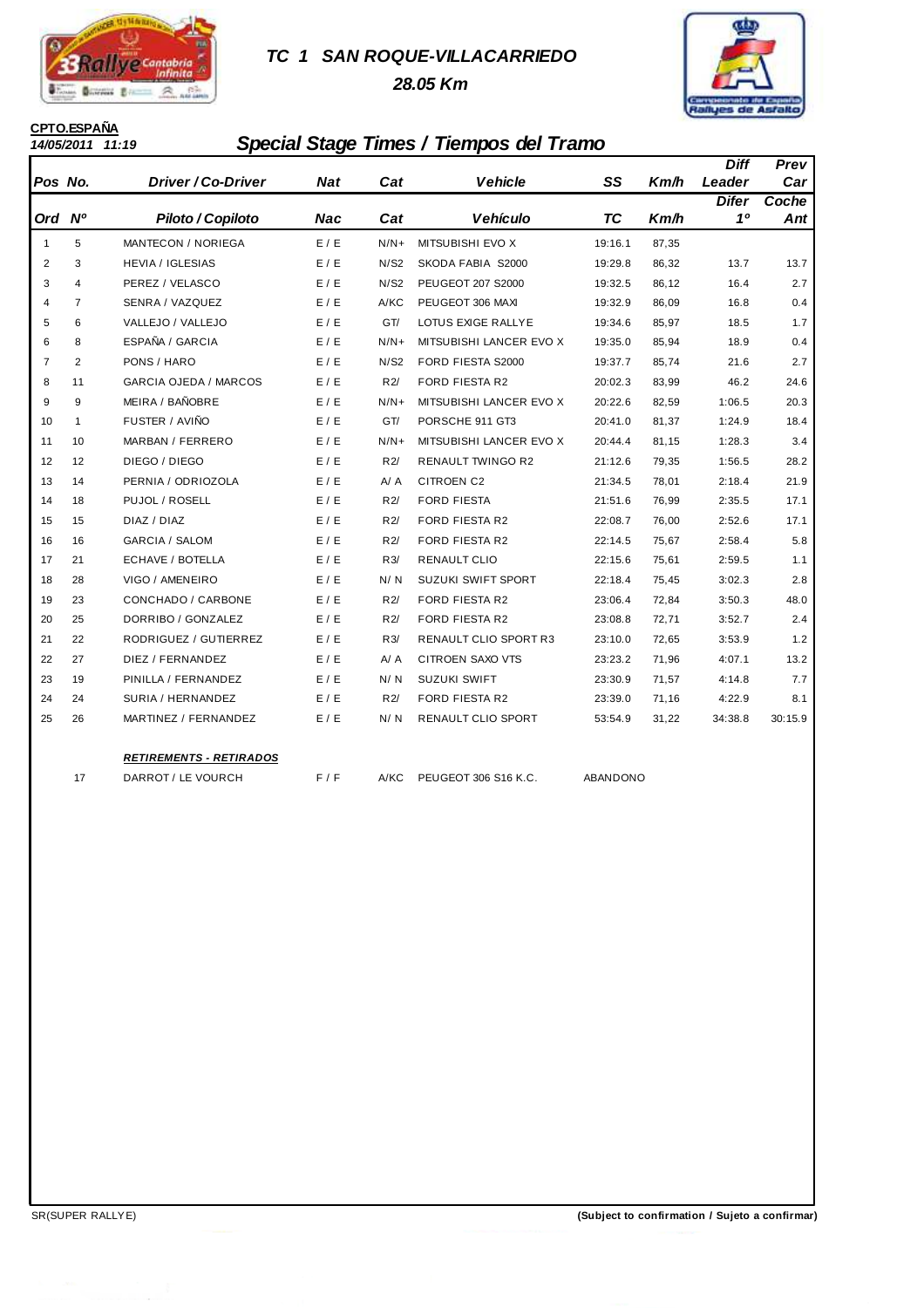

### **TC 1 SAN ROQUE-VILLACARRIEDO**

 **28.05 Km**



# **CPTO.ESPAÑA**

## **14/05/2011 11:19 Special Stage Times / Tiempos del Tramo**

|                |                |                              |            |        |                              |           |       | Diff         | Prev    |
|----------------|----------------|------------------------------|------------|--------|------------------------------|-----------|-------|--------------|---------|
| Pos No.        |                | Driver / Co-Driver           | <b>Nat</b> | Cat    | <b>Vehicle</b>               | SS        | Km/h  | Leader       | Car     |
|                |                |                              |            |        |                              |           |       | <b>Difer</b> | Coche   |
| Ord Nº         |                | Piloto / Copiloto            | Nac        | Cat    | <b>Vehículo</b>              | <b>TC</b> | Km/h  | 10           | Ant     |
| $\mathbf{1}$   | 5              | MANTECON / NORIEGA           | E / E      | $N/N+$ | <b>MITSUBISHI EVO X</b>      | 19:16.1   | 87,35 |              |         |
| $\overline{2}$ | 3              | <b>HEVIA / IGLESIAS</b>      | E/E        | N/S2   | SKODA FABIA S2000            | 19:29.8   | 86,32 | 13.7         | 13.7    |
| 3              | 4              | PEREZ / VELASCO              | E/E        | N/S2   | PEUGEOT 207 S2000            | 19:32.5   | 86,12 | 16.4         | 2.7     |
| $\overline{4}$ | $\overline{7}$ | SENRA / VAZQUEZ              | E/E        | A/KC   | PEUGEOT 306 MAXI             | 19:32.9   | 86,09 | 16.8         | 0.4     |
| 5              | 6              | VALLEJO / VALLEJO            | E/E        | GT/    | LOTUS EXIGE RALLYE           | 19:34.6   | 85,97 | 18.5         | 1.7     |
| 6              | 8              | ESPAÑA / GARCIA              | E/E        | $N/N+$ | MITSUBISHI LANCER EVO X      | 19:35.0   | 85,94 | 18.9         | 0.4     |
| $\overline{7}$ | $\overline{2}$ | PONS / HARO                  | E/E        | N/S2   | FORD FIESTA S2000            | 19:37.7   | 85,74 | 21.6         | 2.7     |
| 8              | 11             | <b>GARCIA OJEDA / MARCOS</b> | E / E      | R2/    | <b>FORD FIESTA R2</b>        | 20:02.3   | 83,99 | 46.2         | 24.6    |
| 9              | 9              | MEIRA / BAÑOBRE              | E/E        | $N/N+$ | MITSUBISHI LANCER EVO X      | 20:22.6   | 82,59 | 1:06.5       | 20.3    |
| 10             | $\mathbf{1}$   | FUSTER / AVIÑO               | E / E      | GT/    | PORSCHE 911 GT3              | 20:41.0   | 81,37 | 1:24.9       | 18.4    |
| 11             | 10             | MARBAN / FERRERO             | E/E        | $N/N+$ | MITSUBISHI LANCER EVO X      | 20:44.4   | 81,15 | 1:28.3       | 3.4     |
| 12             | 12             | DIEGO / DIEGO                | E/E        | R2/    | <b>RENAULT TWINGO R2</b>     | 21:12.6   | 79,35 | 1:56.5       | 28.2    |
| 13             | 14             | PERNIA / ODRIOZOLA           | E/E        | A / A  | <b>CITROEN C2</b>            | 21:34.5   | 78,01 | 2:18.4       | 21.9    |
| 14             | 18             | PUJOL / ROSELL               | E/E        | R2/    | <b>FORD FIESTA</b>           | 21:51.6   | 76,99 | 2:35.5       | 17.1    |
| 15             | 15             | DIAZ / DIAZ                  | E/E        | R2/    | <b>FORD FIESTA R2</b>        | 22:08.7   | 76,00 | 2:52.6       | 17.1    |
| 16             | 16             | GARCIA / SALOM               | E/E        | R2/    | <b>FORD FIESTA R2</b>        | 22:14.5   | 75,67 | 2:58.4       | 5.8     |
| 17             | 21             | ECHAVE / BOTELLA             | E/E        | R3/    | <b>RENAULT CLIO</b>          | 22:15.6   | 75,61 | 2:59.5       | 1.1     |
| 18             | 28             | VIGO / AMENEIRO              | E/E        | N/N    | <b>SUZUKI SWIFT SPORT</b>    | 22:18.4   | 75,45 | 3:02.3       | 2.8     |
| 19             | 23             | CONCHADO / CARBONE           | E/E        | R2/    | FORD FIESTA R2               | 23:06.4   | 72,84 | 3:50.3       | 48.0    |
| 20             | 25             | DORRIBO / GONZALEZ           | E/E        | R2/    | <b>FORD FIESTA R2</b>        | 23:08.8   | 72,71 | 3:52.7       | 2.4     |
| 21             | 22             | RODRIGUEZ / GUTIERREZ        | E/E        | R3/    | <b>RENAULT CLIO SPORT R3</b> | 23:10.0   | 72,65 | 3:53.9       | 1.2     |
| 22             | 27             | DIEZ / FERNANDEZ             | E/E        | A / A  | CITROEN SAXO VTS             | 23:23.2   | 71,96 | 4:07.1       | 13.2    |
| 23             | 19             | PINILLA / FERNANDEZ          | E / E      | N/N    | <b>SUZUKI SWIFT</b>          | 23:30.9   | 71,57 | 4:14.8       | 7.7     |
| 24             | 24             | SURIA / HERNANDEZ            | E/E        | R2/    | <b>FORD FIESTA R2</b>        | 23:39.0   | 71,16 | 4:22.9       | 8.1     |
| 25             | 26             | MARTINEZ / FERNANDEZ         | E/E        | N/N    | RENAULT CLIO SPORT           | 53:54.9   | 31,22 | 34:38.8      | 30:15.9 |
|                |                |                              |            |        |                              |           |       |              |         |

#### **RETIREMENTS - RETIRADOS**

- 17 DARROT / LE VOURCH F / F A/KC PEUGEOT 306 S16 K.C. ABANDONO
-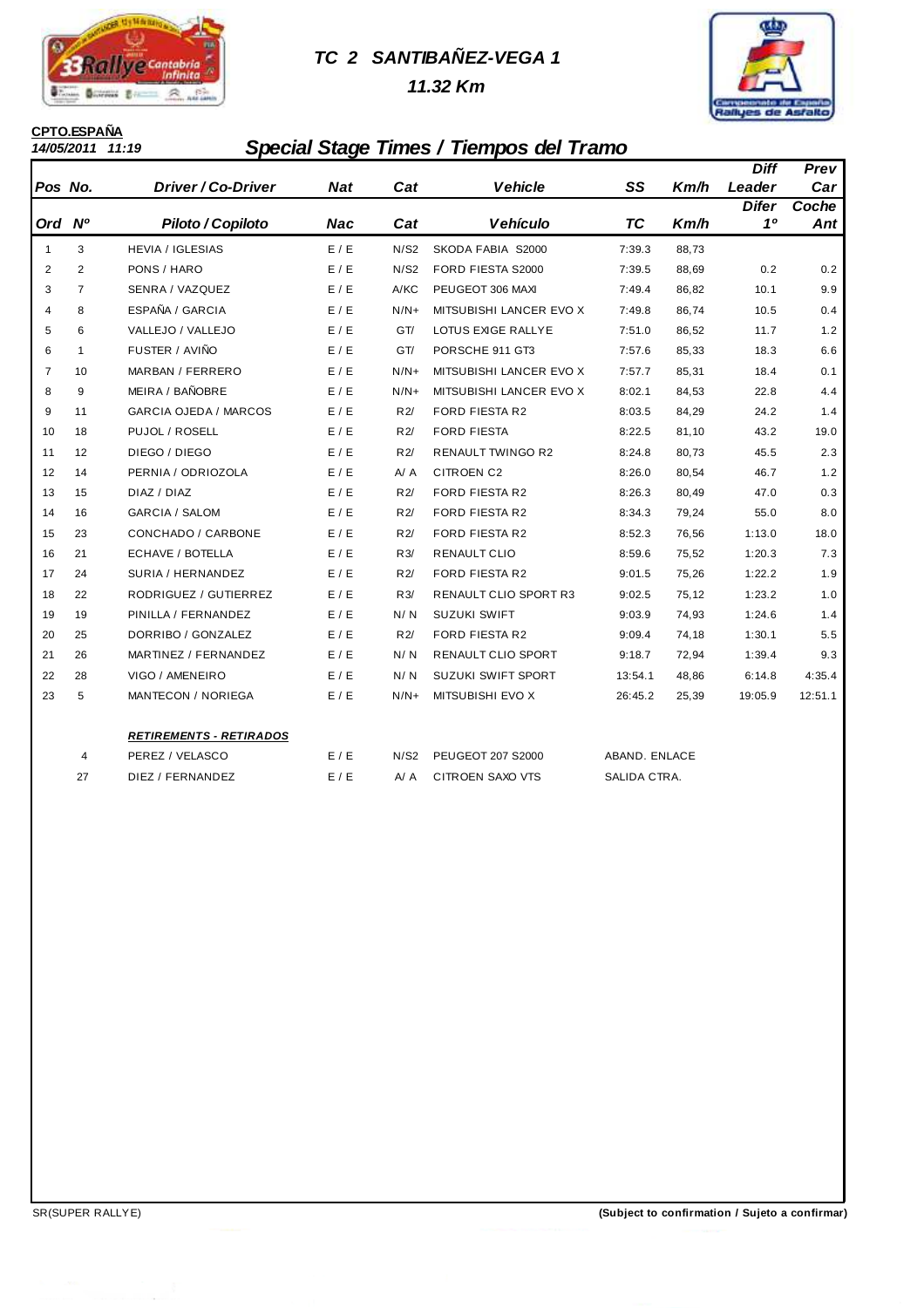

# **TC 2 SANTIBAÑEZ-VEGA 1**

 **11.32 Km**



# **CPTO.ESPAÑA**<br>14/05/2011 11:19

# **14/05/2011 11:19 Special Stage Times / Tiempos del Tramo**

|                |                |                                |            |              |                          |                |       | <b>Diff</b>  | Prev    |
|----------------|----------------|--------------------------------|------------|--------------|--------------------------|----------------|-------|--------------|---------|
| Pos No.        |                | Driver / Co-Driver             | <b>Nat</b> | Cat          | <b>Vehicle</b>           | SS             | Km/h  | Leader       | Car     |
|                |                |                                |            |              |                          |                |       | <b>Difer</b> | Coche   |
| Ord            | <b>N°</b>      | Piloto / Copiloto              | <b>Nac</b> | Cat          | <b>Vehículo</b>          | <b>TC</b>      | Km/h  | 10           | Ant     |
| 1              | 3              | <b>HEVIA / IGLESIAS</b>        | E / E      | N/S2         | SKODA FABIA S2000        | 7:39.3         | 88,73 |              |         |
| 2              | 2              | PONS / HARO                    | E / E      | N/S2         | FORD FIESTA S2000        | 7:39.5         | 88,69 | 0.2          | 0.2     |
| 3              | $\overline{7}$ | SENRA / VAZQUEZ                | E/E        | A/KC         | PEUGEOT 306 MAXI         | 7:49.4         | 86,82 | 10.1         | 9.9     |
| $\overline{4}$ | 8              | ESPAÑA / GARCIA                | E/E        | $N/N+$       | MITSUBISHI LANCER EVO X  | 7:49.8         | 86,74 | 10.5         | 0.4     |
| 5              | 6              | VALLEJO / VALLEJO              | E / E      | GT/          | LOTUS EXIGE RALLYE       | 7:51.0         | 86,52 | 11.7         | 1.2     |
| 6              | $\mathbf{1}$   | FUSTER / AVIÑO                 | E/E        | GT/          | PORSCHE 911 GT3          | 7:57.6         | 85,33 | 18.3         | 6.6     |
| $\overline{7}$ | 10             | MARBAN / FERRERO               | E/E        | $N/N+$       | MITSUBISHI LANCER EVO X  | 7:57.7         | 85,31 | 18.4         | 0.1     |
| 8              | 9              | MEIRA / BAÑOBRE                | E / E      | $N/N+$       | MITSUBISHI LANCER EVO X  | 8:02.1         | 84,53 | 22.8         | 4.4     |
| 9              | 11             | <b>GARCIA OJEDA / MARCOS</b>   | E / E      | R2/          | <b>FORD FIESTA R2</b>    | 8:03.5         | 84,29 | 24.2         | 1.4     |
| 10             | 18             | PUJOL / ROSELL                 | E/E        | R2/          | <b>FORD FIESTA</b>       | 8:22.5         | 81,10 | 43.2         | 19.0    |
| 11             | 12             | DIEGO / DIEGO                  | E/E        | R2/          | <b>RENAULT TWINGO R2</b> | 8:24.8         | 80,73 | 45.5         | 2.3     |
| 12             | 14             | PERNIA / ODRIOZOLA             | E/E        | A / A        | <b>CITROEN C2</b>        | 8:26.0         | 80,54 | 46.7         | 1.2     |
| 13             | 15             | DIAZ / DIAZ                    | E / E      | R2/          | <b>FORD FIESTA R2</b>    | 8:26.3         | 80,49 | 47.0         | 0.3     |
| 14             | 16             | <b>GARCIA / SALOM</b>          | E/E        | R2/          | <b>FORD FIESTA R2</b>    | 8:34.3         | 79,24 | 55.0         | 8.0     |
| 15             | 23             | CONCHADO / CARBONE             | E / E      | R2/          | <b>FORD FIESTA R2</b>    | 8:52.3         | 76,56 | 1:13.0       | 18.0    |
| 16             | 21             | ECHAVE / BOTELLA               | E / E      | R3/          | RENAULT CLIO             | 8:59.6         | 75,52 | 1:20.3       | 7.3     |
| 17             | 24             | SURIA / HERNANDEZ              | E/E        | R2/          | <b>FORD FIESTA R2</b>    | 9:01.5         | 75,26 | 1:22.2       | 1.9     |
| 18             | 22             | RODRIGUEZ / GUTIERREZ          | E/E        | R3/          | RENAULT CLIO SPORT R3    | 9:02.5         | 75,12 | 1:23.2       | 1.0     |
| 19             | 19             | PINILLA / FERNANDEZ            | E/E        | N/N          | <b>SUZUKI SWIFT</b>      | 9:03.9         | 74,93 | 1:24.6       | 1.4     |
| 20             | 25             | DORRIBO / GONZALEZ             | E / E      | R2/          | <b>FORD FIESTA R2</b>    | 9:09.4         | 74,18 | 1:30.1       | 5.5     |
| 21             | 26             | MARTINEZ / FERNANDEZ           | E / E      | N/N          | RENAULT CLIO SPORT       | 9:18.7         | 72,94 | 1:39.4       | 9.3     |
| 22             | 28             | VIGO / AMENEIRO                | E / E      | N/N          | SUZUKI SWIFT SPORT       | 13:54.1        | 48,86 | 6:14.8       | 4:35.4  |
| 23             | 5              | MANTECON / NORIEGA             | E / E      | $N/N+$       | MITSUBISHI EVO X         | 26:45.2        | 25,39 | 19:05.9      | 12:51.1 |
|                |                | <b>RETIREMENTS - RETIRADOS</b> |            |              |                          |                |       |              |         |
|                |                | $DCDZ \cup T1 \cup T1$         | F/I        | $\mathbf{N}$ | DELIGEOT 007 00000       | ADANID FULLARE |       |              |         |

|      | PEREZ / VELASCO  |  | N/S2 PEUGEOT 207 S2000 | ABAND, ENLACE |
|------|------------------|--|------------------------|---------------|
| - 27 | DIEZ / FERNANDEZ |  | A/A CITROEN SAXO VTS   | SALIDA CTRA.  |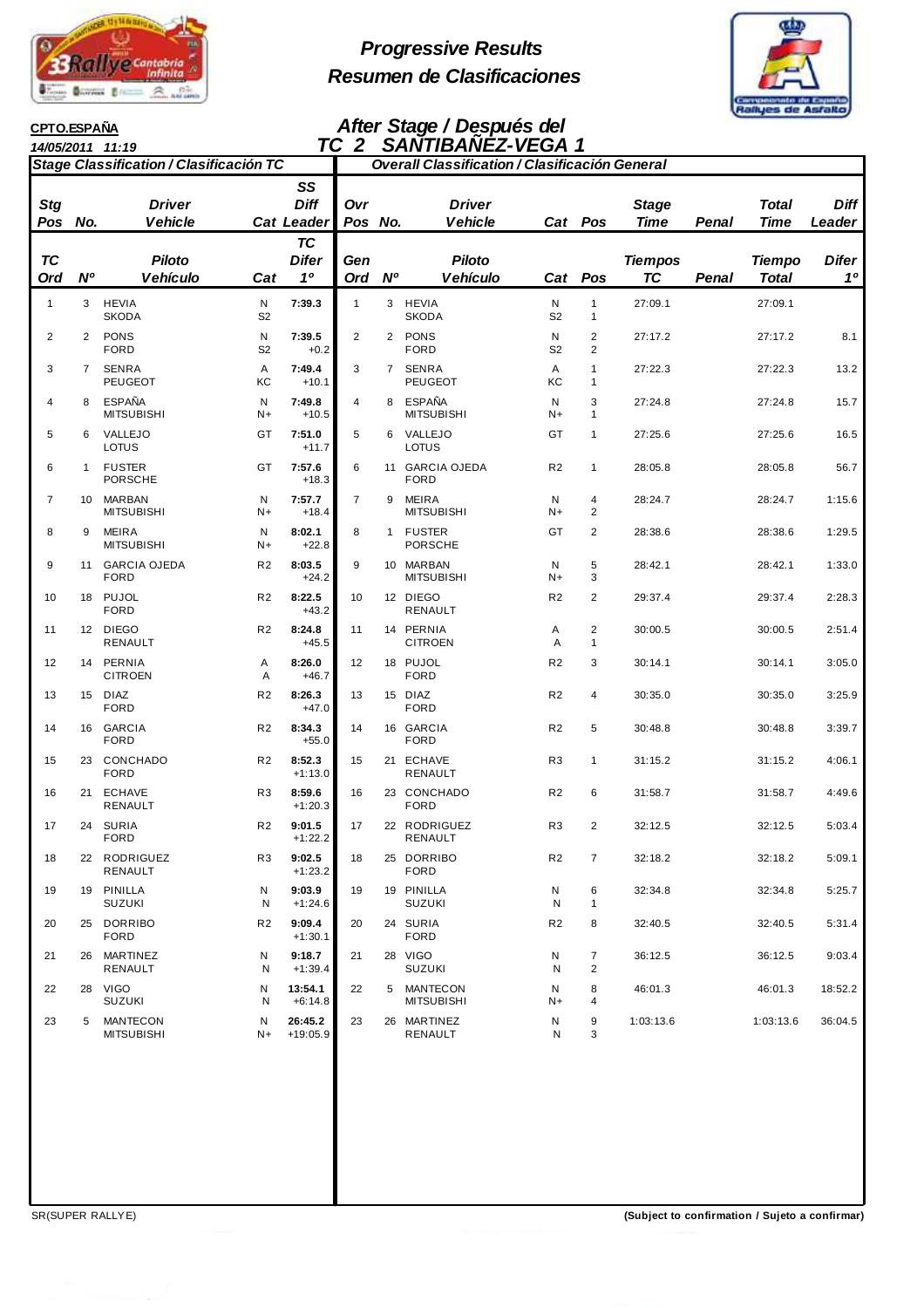

# **Progressive Results Resumen de Clasificaciones**



#### **CPTO.ESPAÑA**

### **After Stage / Después del TC 2 SANTIBAÑEZ-VEGA 1**

| TC 2<br>14/05/2011 11:19 |                |                                                |                     |                                             |                |                | <b>SANTIBANÉZ-VEGA 1</b>                              |                     |                                  |                             |       |                               |                                |
|--------------------------|----------------|------------------------------------------------|---------------------|---------------------------------------------|----------------|----------------|-------------------------------------------------------|---------------------|----------------------------------|-----------------------------|-------|-------------------------------|--------------------------------|
|                          |                | <b>Stage Classification / Clasificación TC</b> |                     |                                             |                |                | <b>Overall Classification / Clasificación General</b> |                     |                                  |                             |       |                               |                                |
| <b>Stg</b><br>Pos No.    |                | <b>Driver</b><br><b>Vehicle</b>                |                     | SS<br><b>Diff</b><br><b>Cat Leader</b>      | Ovr<br>Pos No. |                | <b>Driver</b><br><b>Vehicle</b>                       |                     | Cat Pos                          | <b>Stage</b><br><b>Time</b> | Penal | <b>Total</b><br><b>Time</b>   | <b>Diff</b><br>Leader          |
| <b>TC</b><br>Ord         | N <sup>o</sup> | <b>Piloto</b><br><b>Vehículo</b>               | Cat                 | <b>TC</b><br><b>Difer</b><br>1 <sup>0</sup> | Gen<br>Ord     | N <sup>o</sup> | <b>Piloto</b><br><b>Vehículo</b>                      |                     | Cat Pos                          | <b>Tiempos</b><br>TC        | Penal | <b>Tiempo</b><br><b>Total</b> | <b>Difer</b><br>1 <sup>0</sup> |
| $\mathbf{1}$             | 3              | <b>HEVIA</b><br><b>SKODA</b>                   | N<br>S <sub>2</sub> | 7:39.3                                      | $\mathbf{1}$   |                | 3 HEVIA<br><b>SKODA</b>                               | N<br>S <sub>2</sub> | $\mathbf{1}$<br>$\mathbf{1}$     | 27:09.1                     |       | 27:09.1                       |                                |
| 2                        | $\overline{2}$ | <b>PONS</b><br><b>FORD</b>                     | N<br>S <sub>2</sub> | 7:39.5<br>$+0.2$                            | $\overline{c}$ |                | 2 PONS<br><b>FORD</b>                                 | N<br>S <sub>2</sub> | $\overline{c}$<br>$\overline{c}$ | 27:17.2                     |       | 27:17.2                       | 8.1                            |
| 3                        | $\overline{7}$ | SENRA<br><b>PEUGEOT</b>                        | Α<br>КC             | 7:49.4<br>$+10.1$                           | 3              |                | 7 SENRA<br><b>PEUGEOT</b>                             | Α<br>KC             | 1<br>1                           | 27:22.3                     |       | 27:22.3                       | 13.2                           |
| 4                        | 8              | <b>ESPAÑA</b><br><b>MITSUBISHI</b>             | N<br>N+             | 7:49.8<br>$+10.5$                           | 4              |                | 8 ESPAÑA<br><b>MITSUBISHI</b>                         | N<br>N+             | 3<br>1                           | 27:24.8                     |       | 27:24.8                       | 15.7                           |
| 5                        | 6              | VALLEJO<br>LOTUS                               | GT                  | 7:51.0<br>$+11.7$                           | 5              | 6              | VALLEJO<br>LOTUS                                      | GT                  | 1                                | 27:25.6                     |       | 27:25.6                       | 16.5                           |
| 6                        | $\mathbf{1}$   | <b>FUSTER</b><br><b>PORSCHE</b>                | GT                  | 7:57.6<br>$+18.3$                           | 6              |                | 11 GARCIA OJEDA<br><b>FORD</b>                        | R <sub>2</sub>      | 1                                | 28:05.8                     |       | 28:05.8                       | 56.7                           |
| 7                        |                | 10 MARBAN<br><b>MITSUBISHI</b>                 | N<br>N+             | 7:57.7<br>$+18.4$                           | $\overline{7}$ | 9              | MEIRA<br><b>MITSUBISHI</b>                            | N<br>$N+$           | 4<br>$\overline{c}$              | 28:24.7                     |       | 28:24.7                       | 1:15.6                         |
| 8                        | 9              | <b>MEIRA</b><br><b>MITSUBISHI</b>              | N<br>N+             | 8:02.1<br>$+22.8$                           | 8              |                | 1 FUSTER<br><b>PORSCHE</b>                            | GT                  | 2                                | 28:38.6                     |       | 28:38.6                       | 1:29.5                         |
| 9                        | 11             | <b>GARCIA OJEDA</b><br><b>FORD</b>             | R <sub>2</sub>      | 8:03.5<br>$+24.2$                           | 9              |                | 10 MARBAN<br><b>MITSUBISHI</b>                        | N<br>$N+$           | 5<br>3                           | 28:42.1                     |       | 28:42.1                       | 1:33.0                         |
| 10                       |                | 18 PUJOL<br><b>FORD</b>                        | R <sub>2</sub>      | 8:22.5<br>$+43.2$                           | 10             |                | 12 DIEGO<br>RENAULT                                   | R <sub>2</sub>      | $\overline{c}$                   | 29:37.4                     |       | 29:37.4                       | 2:28.3                         |
| 11                       |                | 12 DIEGO<br>RENAULT                            | R <sub>2</sub>      | 8:24.8<br>$+45.5$                           | 11             |                | 14 PERNIA<br><b>CITROEN</b>                           | Α<br>A              | 2<br>$\mathbf{1}$                | 30:00.5                     |       | 30:00.5                       | 2:51.4                         |
| 12                       |                | 14 PERNIA<br><b>CITROEN</b>                    | Α<br>Α              | 8:26.0<br>$+46.7$                           | 12             |                | 18 PUJOL<br><b>FORD</b>                               | R <sub>2</sub>      | 3                                | 30:14.1                     |       | 30:14.1                       | 3:05.0                         |
| 13                       |                | 15 DIAZ<br><b>FORD</b>                         | R <sub>2</sub>      | 8:26.3<br>$+47.0$                           | 13             |                | 15 DIAZ<br><b>FORD</b>                                | R <sub>2</sub>      | 4                                | 30:35.0                     |       | 30:35.0                       | 3:25.9                         |
| 14                       |                | 16 GARCIA<br><b>FORD</b>                       | R <sub>2</sub>      | 8:34.3<br>$+55.0$                           | 14             |                | 16 GARCIA<br><b>FORD</b>                              | R <sub>2</sub>      | 5                                | 30:48.8                     |       | 30:48.8                       | 3:39.7                         |
| 15                       |                | 23 CONCHADO<br><b>FORD</b>                     | R <sub>2</sub>      | 8:52.3<br>$+1:13.0$                         | 15             |                | 21 ECHAVE<br>RENAULT                                  | R <sub>3</sub>      | $\mathbf{1}$                     | 31:15.2                     |       | 31:15.2                       | 4:06.1                         |
| 16                       | 21             | <b>ECHAVE</b><br>RENAULT                       | R3                  | 8:59.6<br>$+1:20.3$                         | 16             |                | 23 CONCHADO<br><b>FORD</b>                            | R <sub>2</sub>      | 6                                | 31:58.7                     |       | 31:58.7                       | 4:49.6                         |
| 17                       |                | 24 SURIA<br><b>FORD</b>                        | R <sub>2</sub>      | 9:01.5<br>$+1:22.2$                         | 17             |                | 22 RODRIGUEZ<br>RENAULT                               | R <sub>3</sub>      | 2                                | 32:12.5                     |       | 32:12.5                       | 5:03.4                         |
| 18                       |                | 22 RODRIGUEZ<br>RENAULT                        | R3                  | 9:02.5<br>$+1:23.2$                         | 18             |                | 25 DORRIBO<br><b>FORD</b>                             | R <sub>2</sub>      | $\overline{7}$                   | 32:18.2                     |       | 32:18.2                       | 5:09.1                         |
| 19                       |                | 19 PINILLA<br><b>SUZUKI</b>                    | N<br>N              | 9:03.9<br>$+1:24.6$                         | 19             |                | 19 PINILLA<br><b>SUZUKI</b>                           | N<br>N              | 6<br>$\mathbf{1}$                | 32:34.8                     |       | 32:34.8                       | 5:25.7                         |
| 20                       |                | 25 DORRIBO<br><b>FORD</b>                      | R <sub>2</sub>      | 9:09.4<br>$+1:30.1$                         | 20             |                | 24 SURIA<br><b>FORD</b>                               | R <sub>2</sub>      | 8                                | 32:40.5                     |       | 32:40.5                       | 5:31.4                         |
| 21                       |                | 26 MARTINEZ<br><b>RENAULT</b>                  | N<br>N              | 9:18.7<br>$+1:39.4$                         | 21             |                | 28 VIGO<br><b>SUZUKI</b>                              | N<br>N              | $\overline{7}$<br>$\overline{c}$ | 36:12.5                     |       | 36:12.5                       | 9:03.4                         |
| 22                       |                | 28 VIGO<br><b>SUZUKI</b>                       | N<br>N              | 13:54.1<br>$+6:14.8$                        | 22             |                | 5 MANTECON<br><b>MITSUBISHI</b>                       | N<br>N+             | 8<br>4                           | 46:01.3                     |       | 46:01.3                       | 18:52.2                        |
| 23                       | 5              | <b>MANTECON</b><br><b>MITSUBISHI</b>           | N<br>N+             | 26:45.2<br>$+19:05.9$                       | 23             |                | 26 MARTINEZ<br>RENAULT                                | N<br>N              | 9<br>3                           | 1:03:13.6                   |       | 1:03:13.6                     | 36:04.5                        |
|                          |                |                                                |                     |                                             |                |                |                                                       |                     |                                  |                             |       |                               |                                |

SR(SUPER RALLYE) **(Subject to confirmation / Sujeto a confirmar)**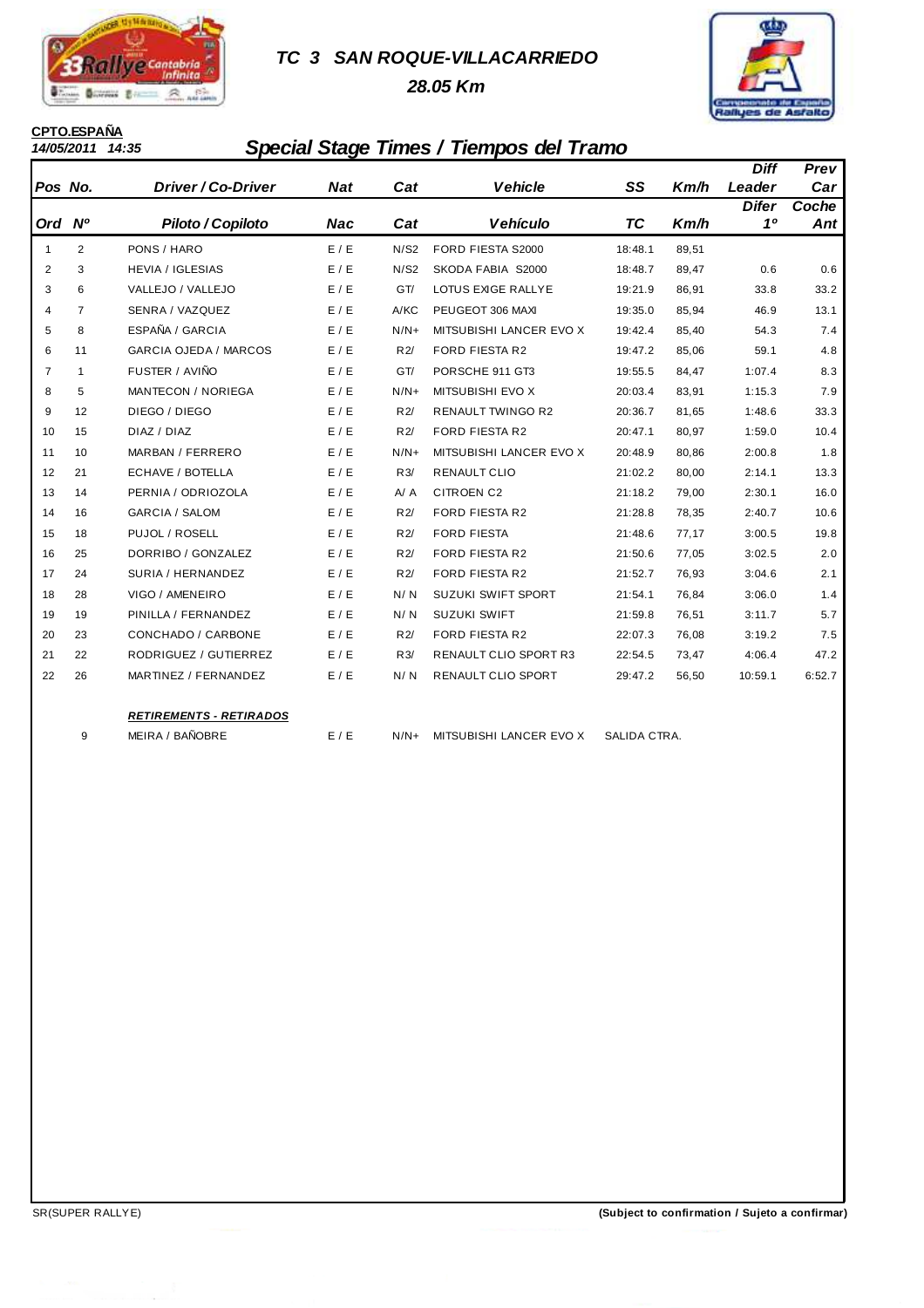

## **TC 3 SAN ROQUE-VILLACARRIEDO**

 **28.05 Km**



# **CPTO.ESPAÑA**<br>14/05/2011 14:35

# **14/05/2011 14:35 Special Stage Times / Tiempos del Tramo**

|                |                |                                |            |        |                           |              |       | <b>Diff</b>  | Prev   |
|----------------|----------------|--------------------------------|------------|--------|---------------------------|--------------|-------|--------------|--------|
| Pos No.        |                | Driver / Co-Driver             | <b>Nat</b> | Cat    | <b>Vehicle</b>            | SS           | Km/h  | Leader       | Car    |
|                |                |                                |            |        |                           |              |       | <b>Difer</b> | Coche  |
| Ord Nº         |                | Piloto / Copiloto              | Nac        | Cat    | <b>Vehículo</b>           | ТC           | Km/h  | 10           | Ant    |
| $\mathbf{1}$   | $\overline{2}$ | PONS / HARO                    | E/E        | N/S2   | FORD FIESTA S2000         | 18:48.1      | 89,51 |              |        |
| 2              | 3              | <b>HEVIA / IGLESIAS</b>        | E/E        | N/S2   | SKODA FABIA S2000         | 18:48.7      | 89,47 | 0.6          | 0.6    |
| 3              | 6              | VALLEJO / VALLEJO              | E / E      | GT/    | LOTUS EXIGE RALLYE        | 19:21.9      | 86,91 | 33.8         | 33.2   |
| $\overline{4}$ | $\overline{7}$ | SENRA / VAZQUEZ                | E/E        | A/KC   | PEUGEOT 306 MAXI          | 19:35.0      | 85,94 | 46.9         | 13.1   |
| 5              | 8              | ESPAÑA / GARCIA                | E/E        | $N/N+$ | MITSUBISHI LANCER EVO X   | 19:42.4      | 85,40 | 54.3         | 7.4    |
| 6              | 11             | <b>GARCIA OJEDA / MARCOS</b>   | E/E        | R2/    | <b>FORD FIESTA R2</b>     | 19:47.2      | 85,06 | 59.1         | 4.8    |
| $\overline{7}$ | $\mathbf{1}$   | FUSTER / AVIÑO                 | E/E        | GT/    | PORSCHE 911 GT3           | 19:55.5      | 84,47 | 1:07.4       | 8.3    |
| 8              | 5              | MANTECON / NORIEGA             | E/E        | $N/N+$ | MITSUBISHI EVO X          | 20:03.4      | 83,91 | 1:15.3       | 7.9    |
| 9              | 12             | DIEGO / DIEGO                  | E / E      | R2/    | <b>RENAULT TWINGO R2</b>  | 20:36.7      | 81,65 | 1:48.6       | 33.3   |
| 10             | 15             | DIAZ / DIAZ                    | E / E      | R2/    | FORD FIESTA R2            | 20:47.1      | 80,97 | 1:59.0       | 10.4   |
| 11             | 10             | MARBAN / FERRERO               | E / E      | $N/N+$ | MITSUBISHI LANCER EVO X   | 20:48.9      | 80,86 | 2:00.8       | 1.8    |
| 12             | 21             | ECHAVE / BOTELLA               | E/E        | R3/    | <b>RENAULT CLIO</b>       | 21:02.2      | 80,00 | 2:14.1       | 13.3   |
| 13             | 14             | PERNIA / ODRIOZOLA             | E/E        | A / A  | <b>CITROEN C2</b>         | 21:18.2      | 79,00 | 2:30.1       | 16.0   |
| 14             | 16             | <b>GARCIA / SALOM</b>          | E/E        | R2/    | <b>FORD FIESTA R2</b>     | 21:28.8      | 78,35 | 2:40.7       | 10.6   |
| 15             | 18             | PUJOL / ROSELL                 | E/E        | R2/    | <b>FORD FIESTA</b>        | 21:48.6      | 77,17 | 3:00.5       | 19.8   |
| 16             | 25             | DORRIBO / GONZALEZ             | E/E        | R2/    | <b>FORD FIESTA R2</b>     | 21:50.6      | 77,05 | 3:02.5       | 2.0    |
| 17             | 24             | SURIA / HERNANDEZ              | E/E        | R2/    | FORD FIESTA R2            | 21:52.7      | 76,93 | 3:04.6       | 2.1    |
| 18             | 28             | VIGO / AMENEIRO                | E / E      | N/N    | <b>SUZUKI SWIFT SPORT</b> | 21:54.1      | 76,84 | 3:06.0       | 1.4    |
| 19             | 19             | PINILLA / FERNANDEZ            | E/E        | N/N    | <b>SUZUKI SWIFT</b>       | 21:59.8      | 76,51 | 3:11.7       | 5.7    |
| 20             | 23             | CONCHADO / CARBONE             | E/E        | R2/    | <b>FORD FIESTA R2</b>     | 22:07.3      | 76,08 | 3:19.2       | 7.5    |
| 21             | 22             | RODRIGUEZ / GUTIERREZ          | E/E        | R3/    | RENAULT CLIO SPORT R3     | 22:54.5      | 73,47 | 4:06.4       | 47.2   |
| 22             | 26             | MARTINEZ / FERNANDEZ           | E / E      | N/N    | RENAULT CLIO SPORT        | 29:47.2      | 56,50 | 10:59.1      | 6:52.7 |
|                |                |                                |            |        |                           |              |       |              |        |
|                |                | <b>RETIREMENTS - RETIRADOS</b> |            |        |                           |              |       |              |        |
|                | 9              | MEIRA / BAÑOBRE                | E / E      | $N/N+$ | MITSUBISHI LANCER EVO X   | SALIDA CTRA. |       |              |        |
|                |                |                                |            |        |                           |              |       |              |        |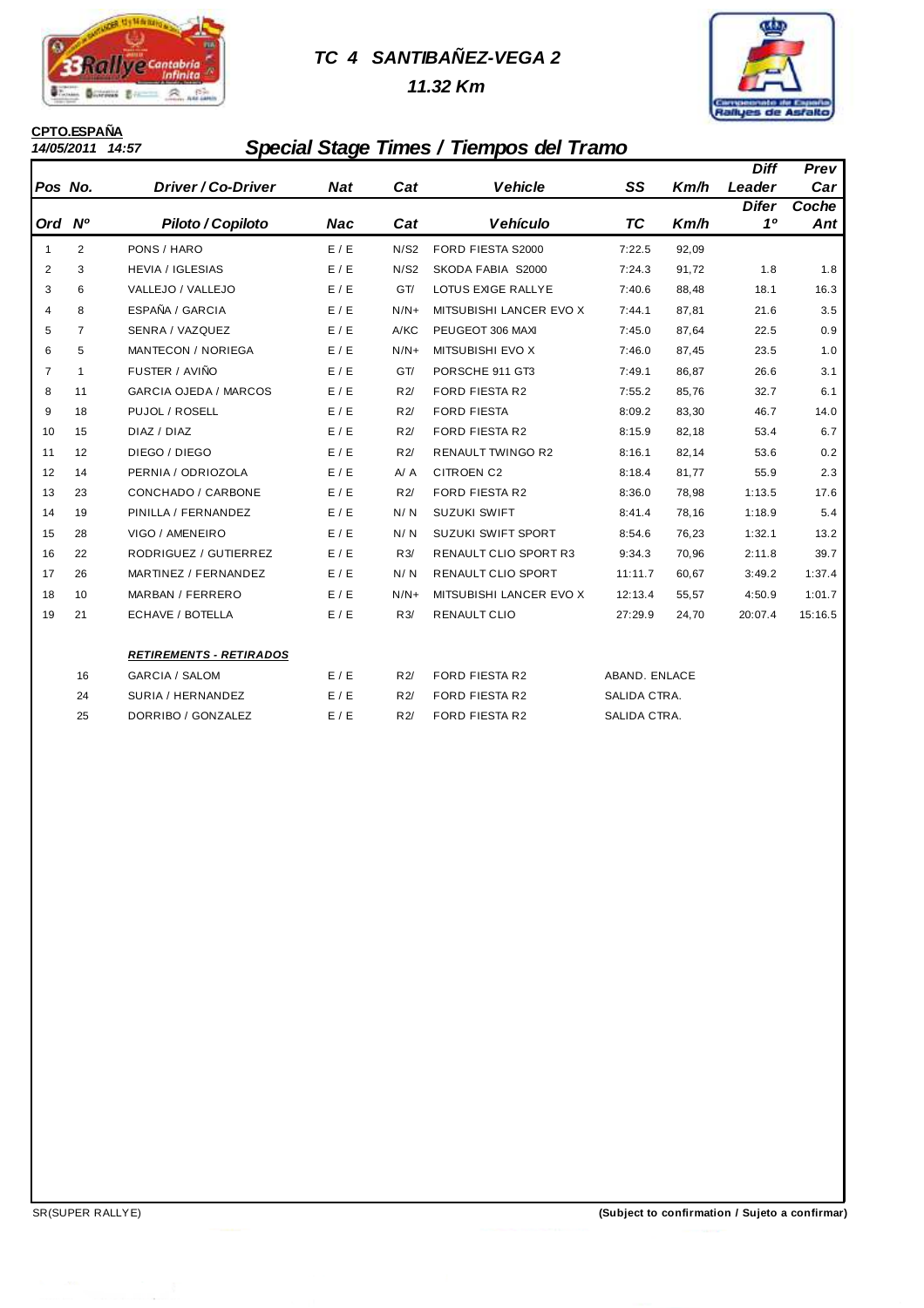

# **TC 4 SANTIBAÑEZ-VEGA 2**

 **11.32 Km**



# **CPTO.ESPAÑA**<br>14/05/2011 14:57

# **14/05/2011 14:57 Special Stage Times / Tiempos del Tramo**

|                |                |                                |            |        |                              |               |       | Diff         | Prev    |
|----------------|----------------|--------------------------------|------------|--------|------------------------------|---------------|-------|--------------|---------|
| Pos No.        |                | <b>Driver/Co-Driver</b>        | <b>Nat</b> | Cat    | <b>Vehicle</b>               | SS            | Km/h  | Leader       | Car     |
|                |                |                                |            |        |                              |               |       | <b>Difer</b> | Coche   |
| Ord            | <b>N°</b>      | Piloto / Copiloto              | <b>Nac</b> | Cat    | <b>Vehículo</b>              | ТC            | Km/h  | 10           | Ant     |
| $\mathbf{1}$   | $\overline{2}$ | PONS / HARO                    | E / E      | N/S2   | FORD FIESTA S2000            | 7:22.5        | 92,09 |              |         |
| 2              | 3              | <b>HEVIA / IGLESIAS</b>        | E/E        | N/S2   | SKODA FABIA S2000            | 7:24.3        | 91,72 | 1.8          | 1.8     |
| 3              | 6              | VALLEJO / VALLEJO              | E/E        | GT/    | LOTUS EXIGE RALLYE           | 7:40.6        | 88,48 | 18.1         | 16.3    |
| $\overline{4}$ | 8              | ESPAÑA / GARCIA                | E/E        | $N/N+$ | MITSUBISHI LANCER EVO X      | 7:44.1        | 87,81 | 21.6         | 3.5     |
| 5              | $\overline{7}$ | SENRA / VAZQUEZ                | E/E        | A/KC   | PEUGEOT 306 MAXI             | 7:45.0        | 87,64 | 22.5         | 0.9     |
| 6              | 5              | <b>MANTECON / NORIEGA</b>      | E/E        | $N/N+$ | MITSUBISHI EVO X             | 7:46.0        | 87,45 | 23.5         | 1.0     |
| $\overline{7}$ | $\mathbf{1}$   | FUSTER / AVIÑO                 | E / E      | GT/    | PORSCHE 911 GT3              | 7:49.1        | 86,87 | 26.6         | 3.1     |
| 8              | 11             | <b>GARCIA OJEDA / MARCOS</b>   | E / E      | R2/    | <b>FORD FIESTA R2</b>        | 7:55.2        | 85,76 | 32.7         | 6.1     |
| 9              | 18             | PUJOL / ROSELL                 | E/E        | R2/    | <b>FORD FIESTA</b>           | 8:09.2        | 83,30 | 46.7         | 14.0    |
| 10             | 15             | DIAZ / DIAZ                    | E/E        | R2/    | <b>FORD FIESTA R2</b>        | 8:15.9        | 82,18 | 53.4         | 6.7     |
| 11             | 12             | DIEGO / DIEGO                  | E/E        | R2/    | <b>RENAULT TWINGO R2</b>     | 8:16.1        | 82,14 | 53.6         | 0.2     |
| 12             | 14             | PERNIA / ODRIOZOLA             | E/E        | A / A  | <b>CITROEN C2</b>            | 8:18.4        | 81,77 | 55.9         | 2.3     |
| 13             | 23             | CONCHADO / CARBONE             | E / E      | R2/    | <b>FORD FIESTA R2</b>        | 8:36.0        | 78,98 | 1:13.5       | 17.6    |
| 14             | 19             | PINILLA / FERNANDEZ            | E/E        | N/N    | <b>SUZUKI SWIFT</b>          | 8:41.4        | 78,16 | 1:18.9       | 5.4     |
| 15             | 28             | VIGO / AMENEIRO                | E/E        | N/N    | <b>SUZUKI SWIFT SPORT</b>    | 8:54.6        | 76,23 | 1:32.1       | 13.2    |
| 16             | 22             | RODRIGUEZ / GUTIERREZ          | E/E        | R3/    | <b>RENAULT CLIO SPORT R3</b> | 9:34.3        | 70,96 | 2:11.8       | 39.7    |
| 17             | 26             | MARTINEZ / FERNANDEZ           | E / E      | N/N    | RENAULT CLIO SPORT           | 11:11.7       | 60,67 | 3:49.2       | 1:37.4  |
| 18             | 10             | MARBAN / FERRERO               | E/E        | $N/N+$ | MITSUBISHI LANCER EVO X      | 12:13.4       | 55,57 | 4:50.9       | 1:01.7  |
| 19             | 21             | ECHAVE / BOTELLA               | E / E      | R3/    | RENAULT CLIO                 | 27:29.9       | 24,70 | 20:07.4      | 15:16.5 |
|                |                |                                |            |        |                              |               |       |              |         |
|                |                | <b>RETIREMENTS - RETIRADOS</b> |            |        |                              |               |       |              |         |
|                | 16             | <b>GARCIA / SALOM</b>          | E/E        | R2/    | <b>FORD FIESTA R2</b>        | ABAND. ENLACE |       |              |         |
|                | 24             | SURIA / HERNANDEZ              | E/E        | R2/    | <b>FORD FIESTA R2</b>        | SALIDA CTRA.  |       |              |         |
|                | 25             | DORRIBO / GONZALEZ             | E/E        | R2/    | <b>FORD FIESTA R2</b>        | SALIDA CTRA.  |       |              |         |
|                |                |                                |            |        |                              |               |       |              |         |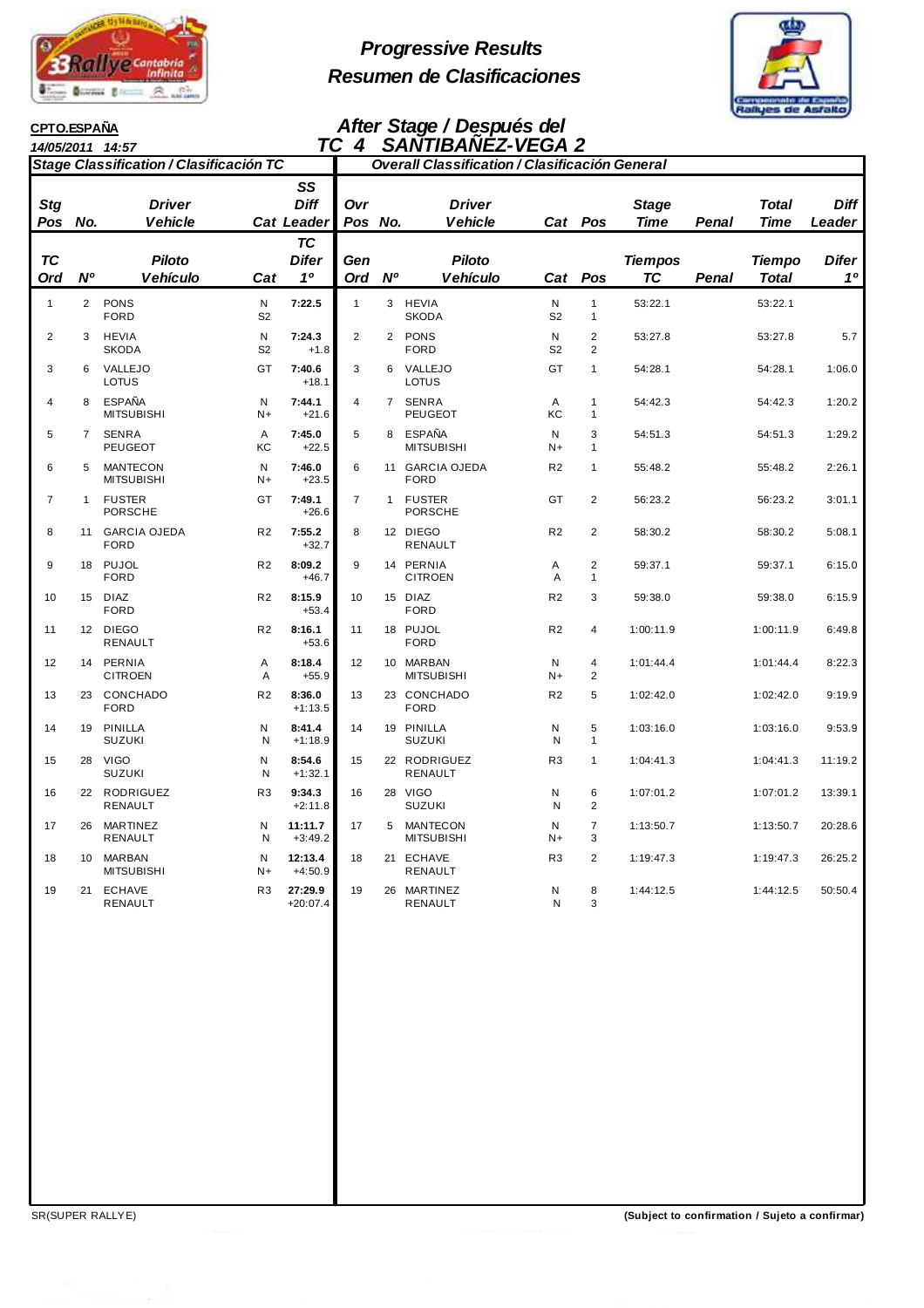

# **Progressive Results Resumen de Clasificaciones**



#### **14/05/2011 14:57 CPTO.ESPAÑA**

### **After Stage / Después del TC 4 SANTIBAÑEZ-VEGA 2**

| Stage Classification / Clasificación TC |                |                                      |                     |                                 | <b>Overall Classification / Clasificación General</b> |                |                                      |                     |                                  |                             |       |                      |                |
|-----------------------------------------|----------------|--------------------------------------|---------------------|---------------------------------|-------------------------------------------------------|----------------|--------------------------------------|---------------------|----------------------------------|-----------------------------|-------|----------------------|----------------|
| Stg<br>Pos                              | No.            | <b>Driver</b><br><b>Vehicle</b>      |                     | SS<br><b>Diff</b><br>Cat Leader | Ovr<br>Pos No.                                        |                | <b>Driver</b><br><b>Vehicle</b>      | Cat                 | Pos                              | <b>Stage</b><br><b>Time</b> | Penal | <b>Total</b><br>Time | Diff<br>Leader |
| ТC<br>Ord                               | N <sup>o</sup> | <b>Piloto</b><br><b>Vehículo</b>     | Cat                 | <b>TC</b><br><b>Difer</b><br>10 | Gen<br>Ord                                            | <b>N°</b>      | <b>Piloto</b><br><b>Vehículo</b>     | Cat                 | Pos                              | <b>Tiempos</b><br><b>TC</b> | Penal | Tiempo<br>Total      | Difer<br>10    |
| $\mathbf{1}$                            | $\overline{2}$ | <b>PONS</b><br><b>FORD</b>           | N<br>S <sub>2</sub> | 7:22.5                          | $\mathbf{1}$                                          |                | 3 HEVIA<br><b>SKODA</b>              | N<br>S <sub>2</sub> | $\mathbf{1}$<br>$\mathbf{1}$     | 53:22.1                     |       | 53:22.1              |                |
| $\overline{2}$                          | 3              | <b>HEVIA</b><br><b>SKODA</b>         | N<br>S <sub>2</sub> | 7:24.3<br>$+1.8$                | $\overline{2}$                                        | $\overline{2}$ | PONS<br><b>FORD</b>                  | N<br>S <sub>2</sub> | $\overline{2}$<br>$\overline{2}$ | 53:27.8                     |       | 53:27.8              | 5.7            |
| 3                                       | 6              | VALLEJO<br>LOTUS                     | GT                  | 7:40.6<br>$+18.1$               | 3                                                     | 6              | VALLEJO<br><b>LOTUS</b>              | GT                  | $\mathbf{1}$                     | 54:28.1                     |       | 54:28.1              | 1:06.0         |
| $\overline{4}$                          | 8              | <b>ESPAÑA</b><br><b>MITSUBISHI</b>   | N<br>$N+$           | 7:44.1<br>$+21.6$               | 4                                                     | $\overline{7}$ | SENRA<br><b>PEUGEOT</b>              | A<br>КC             | $\mathbf{1}$<br>$\mathbf{1}$     | 54:42.3                     |       | 54:42.3              | 1:20.2         |
| 5                                       | $\overline{7}$ | <b>SENRA</b><br><b>PEUGEOT</b>       | A<br>KC             | 7:45.0<br>$+22.5$               | 5                                                     |                | 8 ESPAÑA<br><b>MITSUBISHI</b>        | N<br>$N+$           | 3<br>$\mathbf{1}$                | 54:51.3                     |       | 54:51.3              | 1:29.2         |
| 6                                       | 5              | <b>MANTECON</b><br><b>MITSUBISHI</b> | N<br>$N+$           | 7:46.0<br>$+23.5$               | 6                                                     |                | 11 GARCIA OJEDA<br><b>FORD</b>       | R <sub>2</sub>      | $\mathbf{1}$                     | 55:48.2                     |       | 55:48.2              | 2:26.1         |
| $\overline{7}$                          | $\mathbf{1}$   | <b>FUSTER</b><br><b>PORSCHE</b>      | GT                  | 7:49.1<br>$+26.6$               | $\overline{7}$                                        | $\mathbf{1}$   | <b>FUSTER</b><br><b>PORSCHE</b>      | GT                  | $\overline{2}$                   | 56:23.2                     |       | 56:23.2              | 3:01.1         |
| 8                                       | 11             | <b>GARCIA OJEDA</b><br><b>FORD</b>   | R <sub>2</sub>      | 7:55.2<br>$+32.7$               | 8                                                     |                | 12 DIEGO<br><b>RENAULT</b>           | R <sub>2</sub>      | $\overline{2}$                   | 58:30.2                     |       | 58:30.2              | 5:08.1         |
| 9                                       |                | 18 PUJOL<br><b>FORD</b>              | R <sub>2</sub>      | 8:09.2<br>$+46.7$               | 9                                                     |                | 14 PERNIA<br><b>CITROEN</b>          | Α<br>A              | 2<br>$\mathbf{1}$                | 59:37.1                     |       | 59:37.1              | 6:15.0         |
| 10                                      |                | 15 DIAZ<br><b>FORD</b>               | R <sub>2</sub>      | 8:15.9<br>$+53.4$               | 10                                                    |                | 15 DIAZ<br><b>FORD</b>               | R <sub>2</sub>      | 3                                | 59:38.0                     |       | 59:38.0              | 6:15.9         |
| 11                                      |                | 12 DIEGO<br>RENAULT                  | R <sub>2</sub>      | 8:16.1<br>$+53.6$               | 11                                                    |                | 18 PUJOL<br><b>FORD</b>              | R <sub>2</sub>      | $\overline{4}$                   | 1:00:11.9                   |       | 1:00:11.9            | 6:49.8         |
| 12                                      |                | 14 PERNIA<br><b>CITROEN</b>          | Α<br>Α              | 8:18.4<br>$+55.9$               | 12                                                    |                | 10 MARBAN<br><b>MITSUBISHI</b>       | N<br>$N+$           | $\overline{4}$<br>$\overline{2}$ | 1:01:44.4                   |       | 1:01:44.4            | 8:22.3         |
| 13                                      | 23             | CONCHADO<br><b>FORD</b>              | R <sub>2</sub>      | 8:36.0<br>$+1:13.5$             | 13                                                    |                | 23 CONCHADO<br><b>FORD</b>           | R <sub>2</sub>      | 5                                | 1:02:42.0                   |       | 1:02:42.0            | 9:19.9         |
| 14                                      | 19             | PINILLA<br><b>SUZUKI</b>             | N<br>N              | 8:41.4<br>$+1:18.9$             | 14                                                    |                | 19 PINILLA<br><b>SUZUKI</b>          | N<br>N              | 5<br>$\mathbf{1}$                | 1:03:16.0                   |       | 1:03:16.0            | 9:53.9         |
| 15                                      |                | 28 VIGO<br><b>SUZUKI</b>             | N<br>Ν              | 8:54.6<br>$+1:32.1$             | 15                                                    |                | 22 RODRIGUEZ<br><b>RENAULT</b>       | R <sub>3</sub>      | $\mathbf{1}$                     | 1:04:41.3                   |       | 1:04:41.3            | 11:19.2        |
| 16                                      |                | 22 RODRIGUEZ<br>RENAULT              | R <sub>3</sub>      | 9:34.3<br>$+2:11.8$             | 16                                                    |                | 28 VIGO<br><b>SUZUKI</b>             | N<br>N              | 6<br>$\overline{\mathbf{c}}$     | 1:07:01.2                   |       | 1:07:01.2            | 13:39.1        |
| 17                                      | 26             | MARTINEZ<br><b>RENAULT</b>           | N<br>N              | 11:11.7<br>$+3:49.2$            | 17                                                    | 5              | <b>MANTECON</b><br><b>MITSUBISHI</b> | N<br>$N+$           | $\overline{7}$<br>3              | 1:13:50.7                   |       | 1:13:50.7            | 20:28.6        |
| 18                                      | 10             | <b>MARBAN</b><br><b>MITSUBISHI</b>   | N<br>N+             | 12:13.4<br>$+4:50.9$            | 18                                                    |                | 21 ECHAVE<br><b>RENAULT</b>          | R <sub>3</sub>      | $\overline{2}$                   | 1:19:47.3                   |       | 1:19:47.3            | 26:25.2        |
| 19                                      | 21             | <b>ECHAVE</b><br>RENAULT             | R <sub>3</sub>      | 27:29.9<br>$+20:07.4$           | 19                                                    |                | 26 MARTINEZ<br>RENAULT               | Ν<br>N              | 8<br>3                           | 1:44:12.5                   |       | 1:44:12.5            | 50:50.4        |

SR(SUPER RALLYE) **(Subject to confirmation / Sujeto a confirmar)**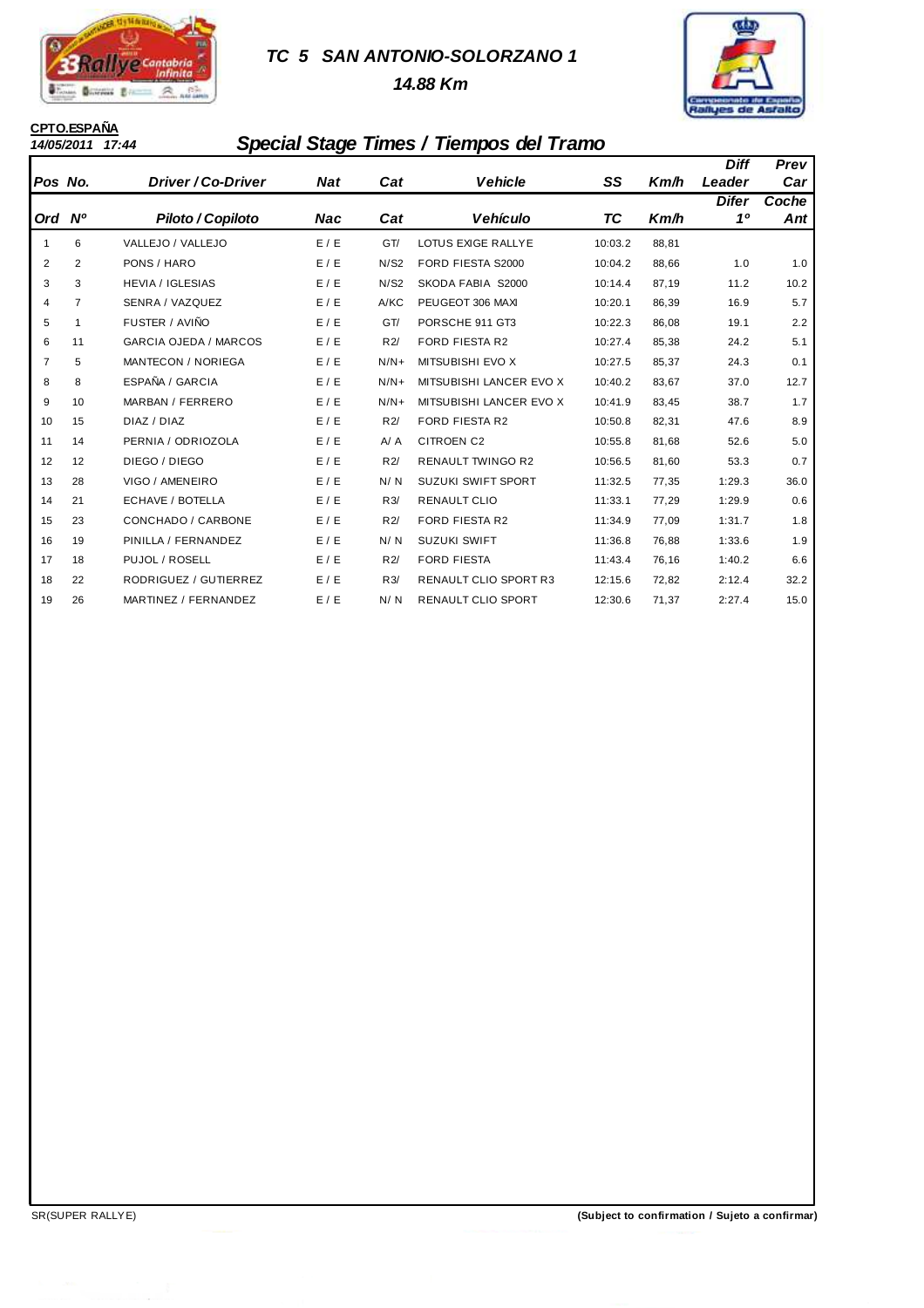

## **TC 5 SAN ANTONIO-SOLORZANO 1**

 **14.88 Km**



# **CPTO.ESPAÑA**

## **14/05/2011 17:44 Special Stage Times / Tiempos del Tramo**

|                |                |                              |            |        |                              |         |       | <b>Diff</b> | Prev         |
|----------------|----------------|------------------------------|------------|--------|------------------------------|---------|-------|-------------|--------------|
| Pos No.        |                | Driver / Co-Driver           | <b>Nat</b> | Cat    | <b>Vehicle</b>               | SS      | Km/h  | Leader      | Car          |
| Ord Nº         |                | Piloto / Copiloto            | Nac        | Cat    | <b>Vehículo</b>              | TC      | Km/h  | Difer<br>10 | Coche<br>Ant |
| 1              | 6              | VALLEJO / VALLEJO            | E / E      | GT/    | LOTUS EXIGE RALLYE           | 10:03.2 | 88,81 |             |              |
| 2              | 2              | PONS / HARO                  | E/E        | N/S2   | FORD FIESTA S2000            | 10:04.2 | 88,66 | 1.0         | 1.0          |
| 3              | 3              | <b>HEVIA / IGLESIAS</b>      | E/E        | N/S2   | SKODA FABIA S2000            | 10:14.4 | 87,19 | 11.2        | 10.2         |
| 4              | $\overline{7}$ | SENRA / VAZQUEZ              | E / E      | A/KC   | PEUGEOT 306 MAXI             | 10:20.1 | 86,39 | 16.9        | 5.7          |
| 5              | 1              | FUSTER / AVIÑO               | E/E        | GT/    | PORSCHE 911 GT3              | 10:22.3 | 86,08 | 19.1        | 2.2          |
| 6              | 11             | <b>GARCIA OJEDA / MARCOS</b> | E / E      | R2/    | <b>FORD FIESTA R2</b>        | 10:27.4 | 85,38 | 24.2        | 5.1          |
| $\overline{7}$ | 5              | <b>MANTECON / NORIEGA</b>    | E/E        | $N/N+$ | MITSUBISHI EVO X             | 10:27.5 | 85,37 | 24.3        | 0.1          |
| 8              | 8              | ESPAÑA / GARCIA              | E/E        | $N/N+$ | MITSUBISHI LANCER EVO X      | 10:40.2 | 83,67 | 37.0        | 12.7         |
| 9              | 10             | MARBAN / FERRERO             | E/E        | $N/N+$ | MITSUBISHI LANCER EVO X      | 10:41.9 | 83,45 | 38.7        | 1.7          |
| 10             | 15             | DIAZ / DIAZ                  | E/E        | R2/    | <b>FORD FIESTA R2</b>        | 10:50.8 | 82,31 | 47.6        | 8.9          |
| 11             | 14             | PERNIA / ODRIOZOLA           | E/E        | A/A    | <b>CITROEN C2</b>            | 10:55.8 | 81,68 | 52.6        | 5.0          |
| 12             | 12             | DIEGO / DIEGO                | E/E        | R2/    | <b>RENAULT TWINGO R2</b>     | 10:56.5 | 81,60 | 53.3        | 0.7          |
| 13             | 28             | VIGO / AMENEIRO              | E / E      | N/N    | <b>SUZUKI SWIFT SPORT</b>    | 11:32.5 | 77,35 | 1:29.3      | 36.0         |
| 14             | 21             | ECHAVE / BOTELLA             | E/E        | R3/    | <b>RENAULT CLIO</b>          | 11:33.1 | 77,29 | 1:29.9      | 0.6          |
| 15             | 23             | CONCHADO / CARBONE           | E/E        | R2/    | <b>FORD FIESTA R2</b>        | 11:34.9 | 77,09 | 1:31.7      | 1.8          |
| 16             | 19             | PINILLA / FERNANDEZ          | E/E        | N/N    | <b>SUZUKI SWIFT</b>          | 11:36.8 | 76,88 | 1:33.6      | 1.9          |
| 17             | 18             | PUJOL / ROSELL               | E/E        | R2/    | <b>FORD FIESTA</b>           | 11:43.4 | 76,16 | 1:40.2      | 6.6          |
| 18             | 22             | RODRIGUEZ / GUTIERREZ        | E/E        | R3/    | <b>RENAULT CLIO SPORT R3</b> | 12:15.6 | 72,82 | 2:12.4      | 32.2         |
| 19             | 26             | MARTINEZ / FERNANDEZ         | E/E        | N/N    | <b>RENAULT CLIO SPORT</b>    | 12:30.6 | 71.37 | 2:27.4      | 15.0         |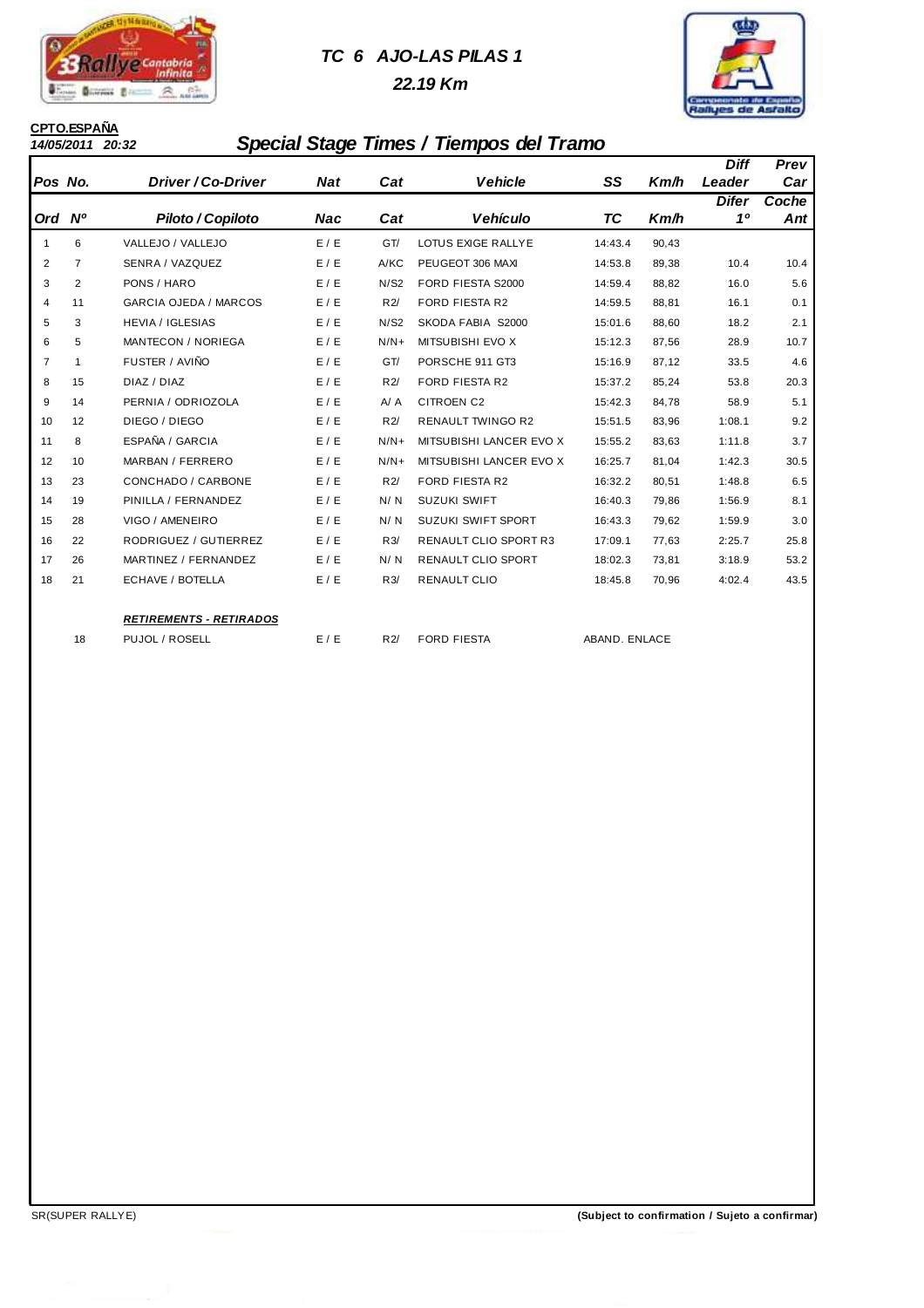

# **TC 6 AJO-LAS PILAS 1**

 **22.19 Km**



# **CPTO.ESPAÑA**

## **14/05/2011 20:32 Special Stage Times / Tiempos del Tramo**

|                |                              |                                                  |        |                              |                    |       | <b>Diff</b>   | Prev  |
|----------------|------------------------------|--------------------------------------------------|--------|------------------------------|--------------------|-------|---------------|-------|
| Pos No.        | Driver / Co-Driver           | <b>Nat</b>                                       | Cat    | <b>Vehicle</b>               | SS                 | Km/h  | Leader        | Car   |
|                |                              |                                                  |        |                              |                    |       | <b>Difer</b>  | Coche |
|                | Piloto / Copiloto            | Nac                                              | Cat    | Vehículo                     |                    | Km/h  |               | Ant   |
| 6              | VALLEJO / VALLEJO            | E / E                                            | GT/    | LOTUS EXIGE RALLYE           | 14:43.4            | 90,43 |               |       |
| $\overline{7}$ | SENRA / VAZQUEZ              | E / E                                            | A/KC   | PEUGEOT 306 MAXI             | 14:53.8            | 89,38 | 10.4          | 10.4  |
| $\overline{2}$ | PONS / HARO                  | E/E                                              | N/S2   | FORD FIESTA S2000            | 14:59.4            | 88,82 | 16.0          | 5.6   |
| 11             | <b>GARCIA OJEDA / MARCOS</b> | E/E                                              | R2/    | <b>FORD FIESTA R2</b>        | 14:59.5            | 88,81 | 16.1          | 0.1   |
| 3              | <b>HEVIA / IGLESIAS</b>      | E/E                                              | N/S2   | SKODA FABIA S2000            | 15:01.6            | 88,60 | 18.2          | 2.1   |
| 5              | <b>MANTECON / NORIEGA</b>    | E/E                                              | $N/N+$ | MITSUBISHI EVO X             | 15:12.3            | 87,56 | 28.9          | 10.7  |
| 1              | FUSTER / AVIÑO               | E/E                                              | GT/    | PORSCHE 911 GT3              | 15:16.9            | 87,12 | 33.5          | 4.6   |
| 15             | DIAZ / DIAZ                  | E/E                                              | R2/    | <b>FORD FIESTA R2</b>        | 15:37.2            | 85,24 | 53.8          | 20.3  |
| 14             | PERNIA / ODRIOZOLA           | E/E                                              | A / A  | <b>CITROEN C2</b>            | 15:42.3            | 84,78 | 58.9          | 5.1   |
| 12             | DIEGO / DIEGO                | E/E                                              | R2/    | <b>RENAULT TWINGO R2</b>     | 15:51.5            | 83,96 | 1:08.1        | 9.2   |
| 8              | ESPAÑA / GARCIA              | E/E                                              | $N/N+$ | MITSUBISHI LANCER EVO X      | 15:55.2            | 83,63 | 1:11.8        | 3.7   |
| 10             | MARBAN / FERRERO             | E/E                                              | $N/N+$ | MITSUBISHI LANCER EVO X      | 16:25.7            | 81,04 | 1:42.3        | 30.5  |
| 23             | CONCHADO / CARBONE           | E/E                                              | R2/    | <b>FORD FIESTA R2</b>        | 16:32.2            | 80,51 | 1:48.8        | 6.5   |
| 19             | PINILLA / FERNANDEZ          | E/E                                              | N/N    | <b>SUZUKI SWIFT</b>          | 16:40.3            | 79,86 | 1:56.9        | 8.1   |
| 28             | VIGO / AMENEIRO              | E/E                                              | N/N    | <b>SUZUKI SWIFT SPORT</b>    | 16:43.3            | 79,62 | 1:59.9        | 3.0   |
| 22             | RODRIGUEZ / GUTIERREZ        | E/E                                              | R3/    | <b>RENAULT CLIO SPORT R3</b> | 17:09.1            | 77,63 | 2:25.7        | 25.8  |
| 26             | MARTINEZ / FERNANDEZ         | E/E                                              | N/N    | <b>RENAULT CLIO SPORT</b>    | 18:02.3            | 73,81 | 3:18.9        | 53.2  |
| 21             | ECHAVE / BOTELLA             | E / E                                            | R3/    | <b>RENAULT CLIO</b>          | 18:45.8            | 70,96 | 4:02.4        | 43.5  |
|                |                              |                                                  |        |                              |                    |       |               |       |
|                |                              |                                                  |        |                              |                    |       |               |       |
|                | Ord Nº<br>18                 | <b>RETIREMENTS - RETIRADOS</b><br>PUJOL / ROSELL | E / E  | R2/                          | <b>FORD FIESTA</b> | TC    | ABAND. ENLACE | 10    |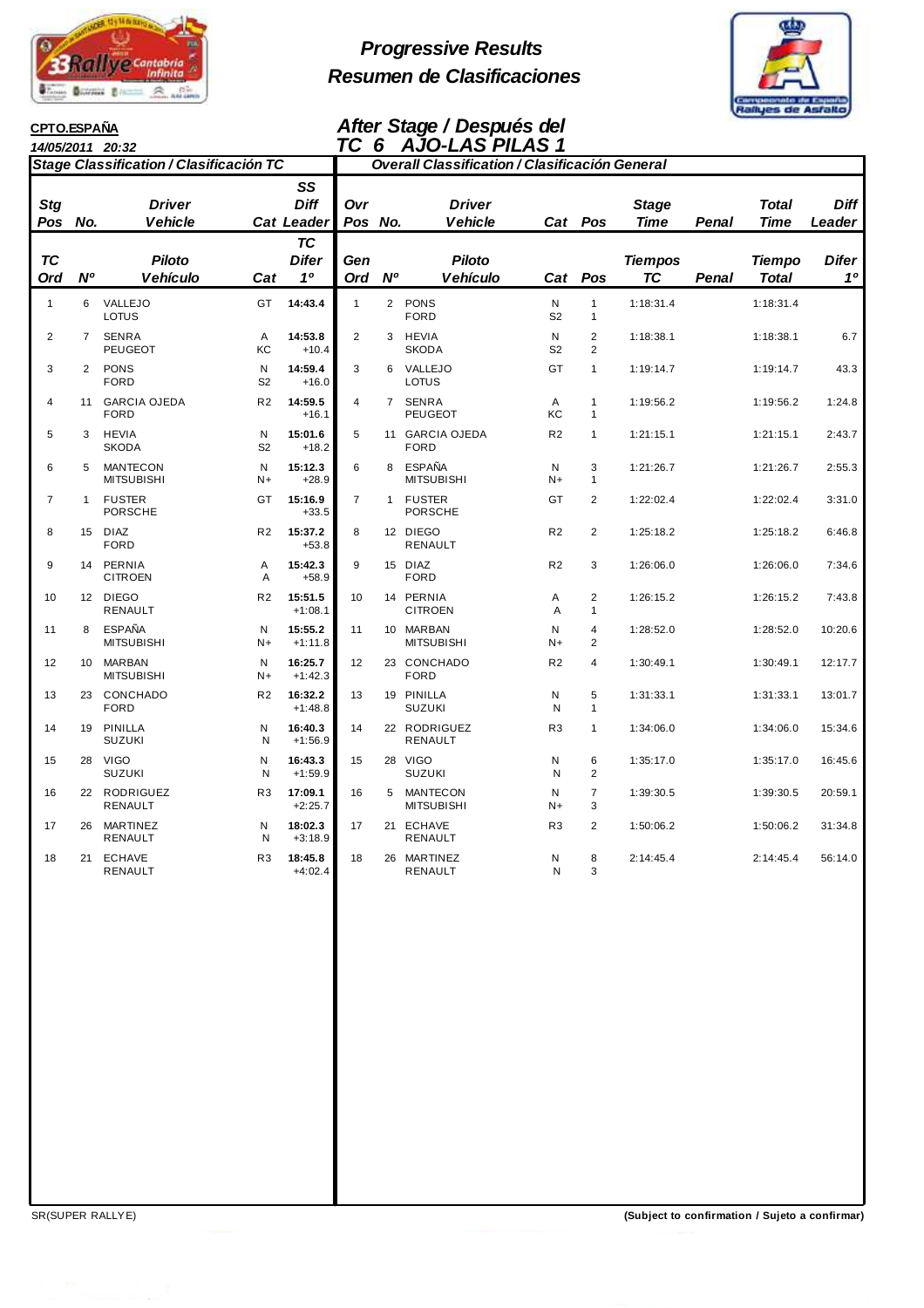

**CPTO.ESPAÑA**

# **Progressive Results Resumen de Clasificaciones**



## **After Stage / Después del TC 6 AJO-LAS PILAS 1**

|                                |                | 14/05/2011 20:32                                 |                     |                                                                     | TC                    | - 6       | <b>AJO-LAS PILAS 1</b>                                |                     |                                           |                                        |       |                                              |                                |
|--------------------------------|----------------|--------------------------------------------------|---------------------|---------------------------------------------------------------------|-----------------------|-----------|-------------------------------------------------------|---------------------|-------------------------------------------|----------------------------------------|-------|----------------------------------------------|--------------------------------|
|                                |                | Stage Classification / Clasificación TC          |                     |                                                                     |                       |           | <b>Overall Classification / Clasificación General</b> |                     |                                           |                                        |       |                                              |                                |
| <b>Stg</b><br>Pos<br><b>TC</b> | No.            | <b>Driver</b><br><b>Vehicle</b><br><b>Piloto</b> |                     | SS<br><b>Diff</b><br><b>Cat Leader</b><br><b>TC</b><br><b>Difer</b> | Ovr<br>Pos No.<br>Gen |           | <b>Driver</b><br><b>Vehicle</b><br><b>Piloto</b>      |                     | Cat Pos                                   | <b>Stage</b><br>Time<br><b>Tiempos</b> | Penal | <b>Total</b><br><b>Time</b><br><b>Tiempo</b> | <b>Diff</b><br>Leader<br>Difer |
| Ord                            | <b>N°</b>      | <b>Vehículo</b>                                  | Cat                 | 10                                                                  | Ord                   | <b>N°</b> | Vehículo                                              | Cat                 | Pos                                       | <b>TC</b>                              | Penal | <b>Total</b>                                 | 10                             |
| $\mathbf{1}$                   | 6              | VALLEJO<br>LOTUS                                 | GT                  | 14:43.4                                                             | $\mathbf{1}$          |           | 2 PONS<br><b>FORD</b>                                 | N<br>S <sub>2</sub> | $\mathbf{1}$<br>$\mathbf{1}$              | 1:18:31.4                              |       | 1:18:31.4                                    |                                |
| $\overline{2}$                 | $\overline{7}$ | <b>SENRA</b><br>PEUGEOT                          | A<br>KC             | 14:53.8<br>$+10.4$                                                  | $\mathbf{2}$          |           | 3 HEVIA<br><b>SKODA</b>                               | N<br>S <sub>2</sub> | $\overline{2}$<br>$\overline{2}$          | 1:18:38.1                              |       | 1:18:38.1                                    | 6.7                            |
| 3                              | $\overline{2}$ | <b>PONS</b><br><b>FORD</b>                       | N<br>S <sub>2</sub> | 14:59.4<br>$+16.0$                                                  | 3                     | 6         | VALLEJO<br>LOTUS                                      | GT                  | $\mathbf{1}$                              | 1:19:14.7                              |       | 1:19:14.7                                    | 43.3                           |
| 4                              | 11             | <b>GARCIA OJEDA</b><br><b>FORD</b>               | R <sub>2</sub>      | 14:59.5<br>$+16.1$                                                  | 4                     |           | 7 SENRA<br><b>PEUGEOT</b>                             | A<br>КC             | $\mathbf{1}$<br>$\mathbf{1}$              | 1:19:56.2                              |       | 1:19:56.2                                    | 1:24.8                         |
| 5                              | 3              | <b>HEVIA</b><br><b>SKODA</b>                     | N<br>S <sub>2</sub> | 15:01.6<br>$+18.2$                                                  | 5                     |           | 11 GARCIA OJEDA<br><b>FORD</b>                        | R <sub>2</sub>      | $\mathbf{1}$                              | 1:21:15.1                              |       | 1:21:15.1                                    | 2:43.7                         |
| 6                              | 5              | <b>MANTECON</b><br><b>MITSUBISHI</b>             | N<br>$N+$           | 15:12.3<br>$+28.9$                                                  | 6                     |           | 8 ESPAÑA<br><b>MITSUBISHI</b>                         | N<br>$N+$           | 3<br>$\mathbf{1}$                         | 1:21:26.7                              |       | 1:21:26.7                                    | 2:55.3                         |
| $\overline{7}$                 | $\mathbf{1}$   | <b>FUSTER</b><br><b>PORSCHE</b>                  | GT                  | 15:16.9<br>$+33.5$                                                  | $\overline{7}$        |           | 1 FUSTER<br><b>PORSCHE</b>                            | GT                  | $\overline{2}$                            | 1:22:02.4                              |       | 1:22:02.4                                    | 3:31.0                         |
| 8                              |                | 15 DIAZ<br><b>FORD</b>                           | R <sub>2</sub>      | 15:37.2<br>$+53.8$                                                  | 8                     |           | 12 DIEGO<br>RENAULT                                   | R <sub>2</sub>      | $\overline{2}$                            | 1:25:18.2                              |       | 1:25:18.2                                    | 6:46.8                         |
| 9                              |                | 14 PERNIA<br><b>CITROEN</b>                      | Α<br>Α              | 15:42.3<br>$+58.9$                                                  | 9                     |           | 15 DIAZ<br><b>FORD</b>                                | R <sub>2</sub>      | 3                                         | 1:26:06.0                              |       | 1:26:06.0                                    | 7:34.6                         |
| 10                             |                | 12 DIEGO<br><b>RENAULT</b>                       | R <sub>2</sub>      | 15:51.5<br>$+1:08.1$                                                | 10                    |           | 14 PERNIA<br><b>CITROEN</b>                           | A<br>A              | $\overline{2}$<br>$\mathbf{1}$            | 1:26:15.2                              |       | 1:26:15.2                                    | 7:43.8                         |
| 11                             | 8              | <b>ESPAÑA</b><br><b>MITSUBISHI</b>               | N<br>$N+$           | 15:55.2<br>$+1:11.8$                                                | 11                    |           | 10 MARBAN<br><b>MITSUBISHI</b>                        | N<br>$N+$           | $\overline{\mathbf{4}}$<br>$\overline{2}$ | 1:28:52.0                              |       | 1:28:52.0                                    | 10:20.6                        |
| 12                             |                | 10 MARBAN<br><b>MITSUBISHI</b>                   | N<br>$N+$           | 16:25.7<br>$+1:42.3$                                                | 12                    |           | 23 CONCHADO<br><b>FORD</b>                            | R <sub>2</sub>      | $\overline{4}$                            | 1:30:49.1                              |       | 1:30:49.1                                    | 12:17.7                        |
| 13                             |                | 23 CONCHADO<br><b>FORD</b>                       | R <sub>2</sub>      | 16:32.2<br>$+1:48.8$                                                | 13                    |           | 19 PINILLA<br><b>SUZUKI</b>                           | N<br>N              | 5<br>$\mathbf{1}$                         | 1:31:33.1                              |       | 1:31:33.1                                    | 13:01.7                        |
| 14                             | 19             | PINILLA<br><b>SUZUKI</b>                         | N<br>Ν              | 16:40.3<br>$+1:56.9$                                                | 14                    |           | 22 RODRIGUEZ<br>RENAULT                               | R <sub>3</sub>      | $\mathbf{1}$                              | 1:34:06.0                              |       | 1:34:06.0                                    | 15:34.6                        |
| 15                             |                | 28 VIGO<br><b>SUZUKI</b>                         | N<br>Ν              | 16:43.3<br>$+1:59.9$                                                | 15                    |           | 28 VIGO<br><b>SUZUKI</b>                              | N<br>N              | 6<br>$\overline{2}$                       | 1:35:17.0                              |       | 1:35:17.0                                    | 16:45.6                        |
| 16                             |                | 22 RODRIGUEZ<br><b>RENAULT</b>                   | R <sub>3</sub>      | 17:09.1<br>$+2:25.7$                                                | 16                    |           | 5 MANTECON<br><b>MITSUBISHI</b>                       | N<br>$N+$           | $\boldsymbol{7}$<br>3                     | 1:39:30.5                              |       | 1:39:30.5                                    | 20:59.1                        |
| 17                             | 26             | MARTINEZ<br><b>RENAULT</b>                       | N<br>N              | 18:02.3<br>$+3:18.9$                                                | 17                    |           | 21 ECHAVE<br><b>RENAULT</b>                           | R <sub>3</sub>      | $\overline{2}$                            | 1:50:06.2                              |       | 1:50:06.2                                    | 31:34.8                        |
| 18                             | 21             | <b>ECHAVE</b><br>RENAULT                         | R <sub>3</sub>      | 18:45.8<br>$+4:02.4$                                                | 18                    |           | 26 MARTINEZ<br>RENAULT                                | Ν<br>N              | 8<br>3                                    | 2:14:45.4                              |       | 2:14:45.4                                    | 56:14.0                        |

SR(SUPER RALLYE) **(Subject to confirmation / Sujeto a confirmar)**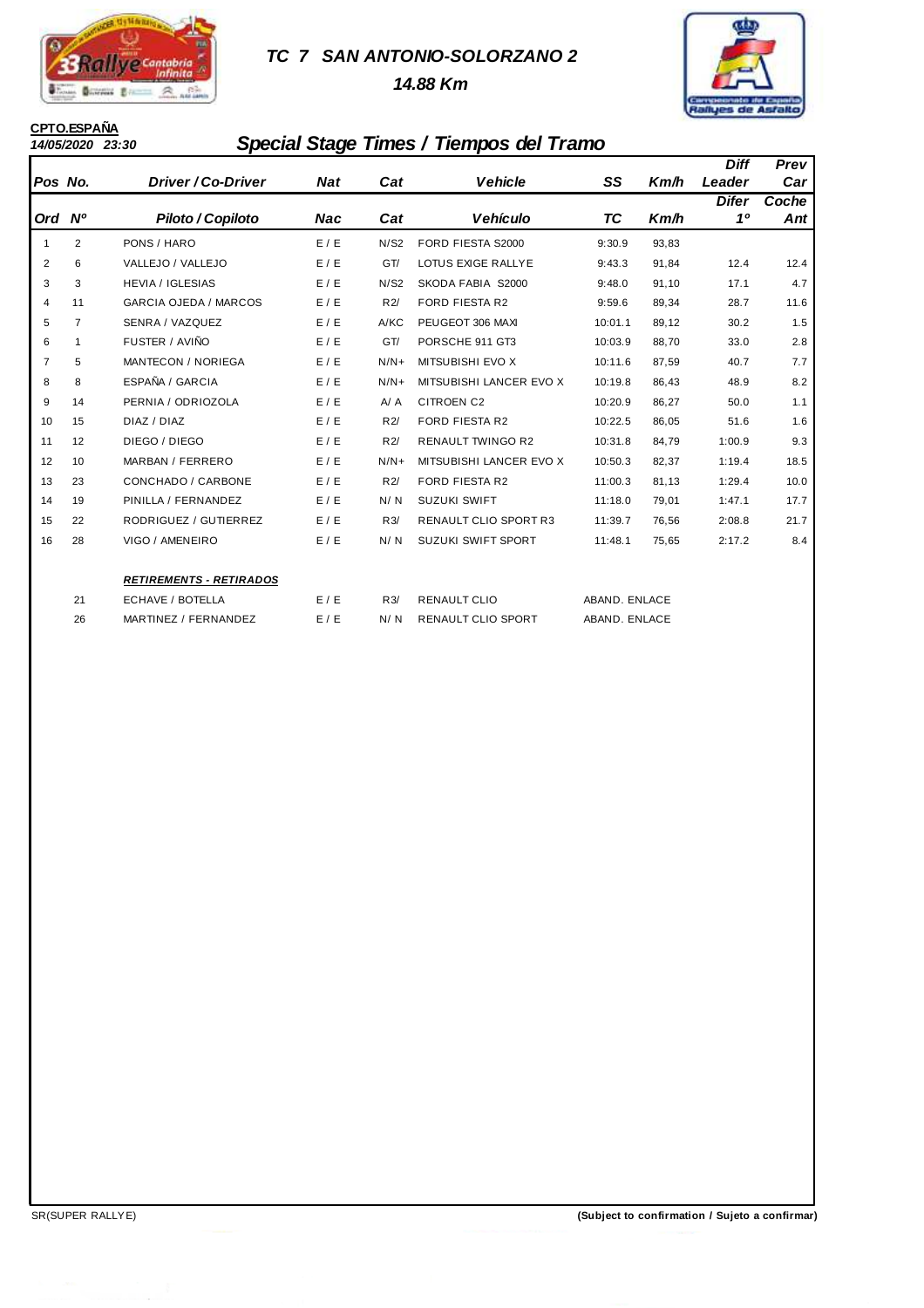

## **TC 7 SAN ANTONIO-SOLORZANO 2**

 **14.88 Km**



# **CPTO.ESPAÑA**

## **14/05/2020 23:30 Special Stage Times / Tiempos del Tramo**

|                |                |                                |            |        |                              |               |       | <b>Diff</b>    | Prev  |
|----------------|----------------|--------------------------------|------------|--------|------------------------------|---------------|-------|----------------|-------|
| Pos No.        |                | Driver / Co-Driver             | <b>Nat</b> | Cat    | <b>Vehicle</b>               | SS            | Km/h  | Leader         | Car   |
|                |                |                                |            |        |                              |               |       | <b>Difer</b>   | Coche |
| Ord Nº         |                | Piloto / Copiloto              | Nac        | Cat    | Vehículo                     | ТC            | Km/h  | 1 <sup>0</sup> | Ant   |
| -1             | $\overline{2}$ | PONS / HARO                    | E / E      | N/S2   | FORD FIESTA S2000            | 9:30.9        | 93,83 |                |       |
| $\overline{2}$ | 6              | VALLEJO / VALLEJO              | E/E        | GT/    | LOTUS EXIGE RALLYE           | 9:43.3        | 91,84 | 12.4           | 12.4  |
| 3              | 3              | <b>HEVIA / IGLESIAS</b>        | E/E        | N/S2   | SKODA FABIA S2000            | 9:48.0        | 91,10 | 17.1           | 4.7   |
| $\overline{4}$ | 11             | <b>GARCIA OJEDA / MARCOS</b>   | E / E      | R2/    | <b>FORD FIESTA R2</b>        | 9:59.6        | 89,34 | 28.7           | 11.6  |
| 5              | 7              | SENRA / VAZQUEZ                | E/E        | A/KC   | PEUGEOT 306 MAXI             | 10:01.1       | 89,12 | 30.2           | 1.5   |
| 6              | 1              | FUSTER / AVIÑO                 | E/E        | GT/    | PORSCHE 911 GT3              | 10:03.9       | 88,70 | 33.0           | 2.8   |
| $\overline{7}$ | 5              | <b>MANTECON / NORIEGA</b>      | E/E        | $N/N+$ | MITSUBISHI EVO X             | 10:11.6       | 87,59 | 40.7           | 7.7   |
| 8              | 8              | ESPAÑA / GARCIA                | E/E        | $N/N+$ | MITSUBISHI LANCER EVO X      | 10:19.8       | 86,43 | 48.9           | 8.2   |
| 9              | 14             | PERNIA / ODRIOZOLA             | E/E        | A / A  | <b>CITROEN C2</b>            | 10:20.9       | 86,27 | 50.0           | 1.1   |
| 10             | 15             | DIAZ / DIAZ                    | E/E        | R2/    | <b>FORD FIESTA R2</b>        | 10:22.5       | 86,05 | 51.6           | 1.6   |
| 11             | 12             | DIEGO / DIEGO                  | E/E        | R2/    | <b>RENAULT TWINGO R2</b>     | 10:31.8       | 84,79 | 1:00.9         | 9.3   |
| 12             | 10             | MARBAN / FERRERO               | E/E        | $N/N+$ | MITSUBISHI LANCER EVO X      | 10:50.3       | 82,37 | 1:19.4         | 18.5  |
| 13             | 23             | CONCHADO / CARBONE             | E/E        | R2/    | <b>FORD FIESTA R2</b>        | 11:00.3       | 81,13 | 1:29.4         | 10.0  |
| 14             | 19             | PINILLA / FERNANDEZ            | E/E        | N/N    | <b>SUZUKI SWIFT</b>          | 11:18.0       | 79,01 | 1:47.1         | 17.7  |
| 15             | 22             | RODRIGUEZ / GUTIERREZ          | E/E        | R3/    | <b>RENAULT CLIO SPORT R3</b> | 11:39.7       | 76,56 | 2:08.8         | 21.7  |
| 16             | 28             | VIGO / AMENEIRO                | E / E      | N/N    | <b>SUZUKI SWIFT SPORT</b>    | 11:48.1       | 75,65 | 2:17.2         | 8.4   |
|                |                | <b>RETIREMENTS - RETIRADOS</b> |            |        |                              |               |       |                |       |
|                | 21             | ECHAVE / BOTELLA               | E/E        | R3/    | <b>RENAULT CLIO</b>          | ABAND. ENLACE |       |                |       |
|                | 26             | MARTINEZ / FERNANDEZ           | E / E      | N/N    | RENAULT CLIO SPORT           | ABAND, ENLACE |       |                |       |